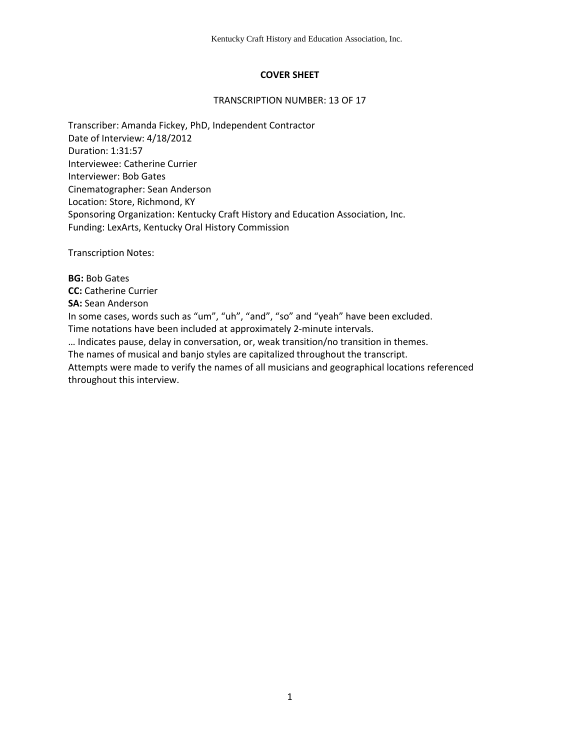## **COVER SHEET**

#### TRANSCRIPTION NUMBER: 13 OF 17

Transcriber: Amanda Fickey, PhD, Independent Contractor Date of Interview: 4/18/2012 Duration: 1:31:57 Interviewee: Catherine Currier Interviewer: Bob Gates Cinematographer: Sean Anderson Location: Store, Richmond, KY Sponsoring Organization: Kentucky Craft History and Education Association, Inc. Funding: LexArts, Kentucky Oral History Commission

Transcription Notes:

**BG:** Bob Gates **CC:** Catherine Currier **SA:** Sean Anderson In some cases, words such as "um", "uh", "and", "so" and "yeah" have been excluded. Time notations have been included at approximately 2-minute intervals. … Indicates pause, delay in conversation, or, weak transition/no transition in themes. The names of musical and banjo styles are capitalized throughout the transcript. Attempts were made to verify the names of all musicians and geographical locations referenced throughout this interview.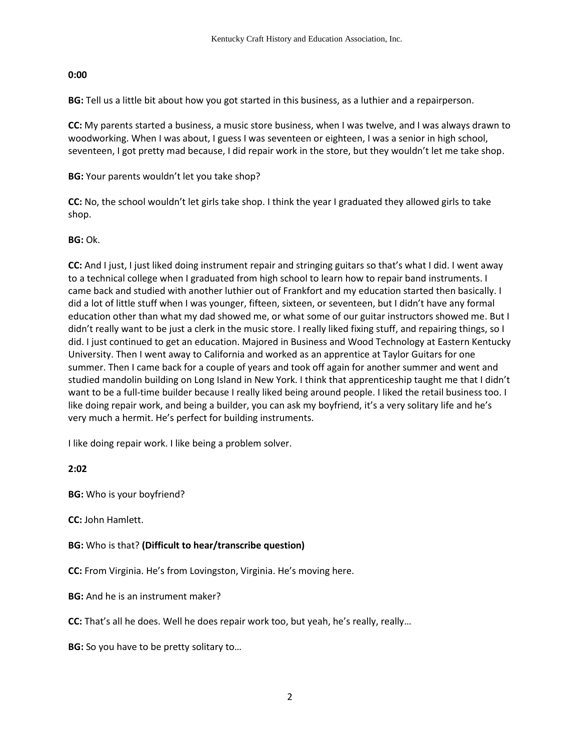### **0:00**

**BG:** Tell us a little bit about how you got started in this business, as a luthier and a repairperson.

**CC:** My parents started a business, a music store business, when I was twelve, and I was always drawn to woodworking. When I was about, I guess I was seventeen or eighteen, I was a senior in high school, seventeen, I got pretty mad because, I did repair work in the store, but they wouldn't let me take shop.

**BG:** Your parents wouldn't let you take shop?

**CC:** No, the school wouldn't let girls take shop. I think the year I graduated they allowed girls to take shop.

## **BG:** Ok.

**CC:** And I just, I just liked doing instrument repair and stringing guitars so that's what I did. I went away to a technical college when I graduated from high school to learn how to repair band instruments. I came back and studied with another luthier out of Frankfort and my education started then basically. I did a lot of little stuff when I was younger, fifteen, sixteen, or seventeen, but I didn't have any formal education other than what my dad showed me, or what some of our guitar instructors showed me. But I didn't really want to be just a clerk in the music store. I really liked fixing stuff, and repairing things, so I did. I just continued to get an education. Majored in Business and Wood Technology at Eastern Kentucky University. Then I went away to California and worked as an apprentice at Taylor Guitars for one summer. Then I came back for a couple of years and took off again for another summer and went and studied mandolin building on Long Island in New York. I think that apprenticeship taught me that I didn't want to be a full-time builder because I really liked being around people. I liked the retail business too. I like doing repair work, and being a builder, you can ask my boyfriend, it's a very solitary life and he's very much a hermit. He's perfect for building instruments.

I like doing repair work. I like being a problem solver.

# **2:02**

**BG:** Who is your boyfriend?

**CC:** John Hamlett.

**BG:** Who is that? **(Difficult to hear/transcribe question)**

**CC:** From Virginia. He's from Lovingston, Virginia. He's moving here.

**BG:** And he is an instrument maker?

**CC:** That's all he does. Well he does repair work too, but yeah, he's really, really…

**BG:** So you have to be pretty solitary to...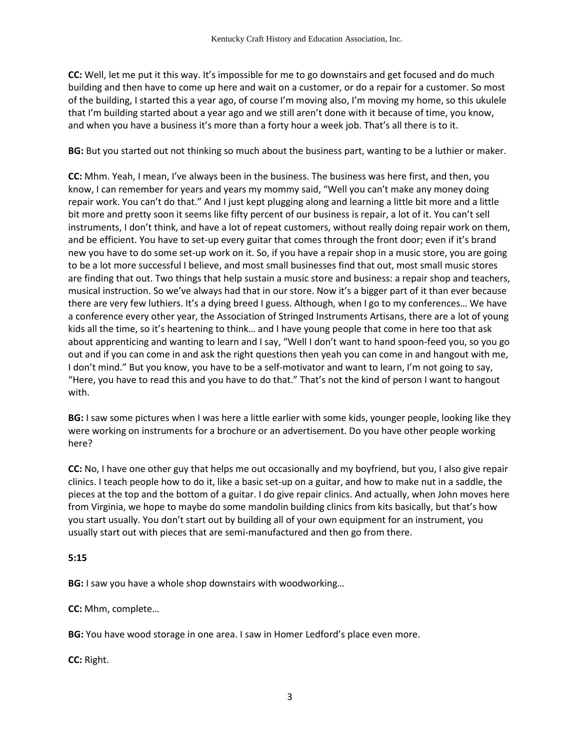**CC:** Well, let me put it this way. It's impossible for me to go downstairs and get focused and do much building and then have to come up here and wait on a customer, or do a repair for a customer. So most of the building, I started this a year ago, of course I'm moving also, I'm moving my home, so this ukulele that I'm building started about a year ago and we still aren't done with it because of time, you know, and when you have a business it's more than a forty hour a week job. That's all there is to it.

**BG:** But you started out not thinking so much about the business part, wanting to be a luthier or maker.

**CC:** Mhm. Yeah, I mean, I've always been in the business. The business was here first, and then, you know, I can remember for years and years my mommy said, "Well you can't make any money doing repair work. You can't do that." And I just kept plugging along and learning a little bit more and a little bit more and pretty soon it seems like fifty percent of our business is repair, a lot of it. You can't sell instruments, I don't think, and have a lot of repeat customers, without really doing repair work on them, and be efficient. You have to set-up every guitar that comes through the front door; even if it's brand new you have to do some set-up work on it. So, if you have a repair shop in a music store, you are going to be a lot more successful I believe, and most small businesses find that out, most small music stores are finding that out. Two things that help sustain a music store and business: a repair shop and teachers, musical instruction. So we've always had that in our store. Now it's a bigger part of it than ever because there are very few luthiers. It's a dying breed I guess. Although, when I go to my conferences… We have a conference every other year, the Association of Stringed Instruments Artisans, there are a lot of young kids all the time, so it's heartening to think… and I have young people that come in here too that ask about apprenticing and wanting to learn and I say, "Well I don't want to hand spoon-feed you, so you go out and if you can come in and ask the right questions then yeah you can come in and hangout with me, I don't mind." But you know, you have to be a self-motivator and want to learn, I'm not going to say, "Here, you have to read this and you have to do that." That's not the kind of person I want to hangout with.

**BG:** I saw some pictures when I was here a little earlier with some kids, younger people, looking like they were working on instruments for a brochure or an advertisement. Do you have other people working here?

**CC:** No, I have one other guy that helps me out occasionally and my boyfriend, but you, I also give repair clinics. I teach people how to do it, like a basic set-up on a guitar, and how to make nut in a saddle, the pieces at the top and the bottom of a guitar. I do give repair clinics. And actually, when John moves here from Virginia, we hope to maybe do some mandolin building clinics from kits basically, but that's how you start usually. You don't start out by building all of your own equipment for an instrument, you usually start out with pieces that are semi-manufactured and then go from there.

### **5:15**

**BG:** I saw you have a whole shop downstairs with woodworking…

**CC:** Mhm, complete…

**BG:** You have wood storage in one area. I saw in Homer Ledford's place even more.

**CC:** Right.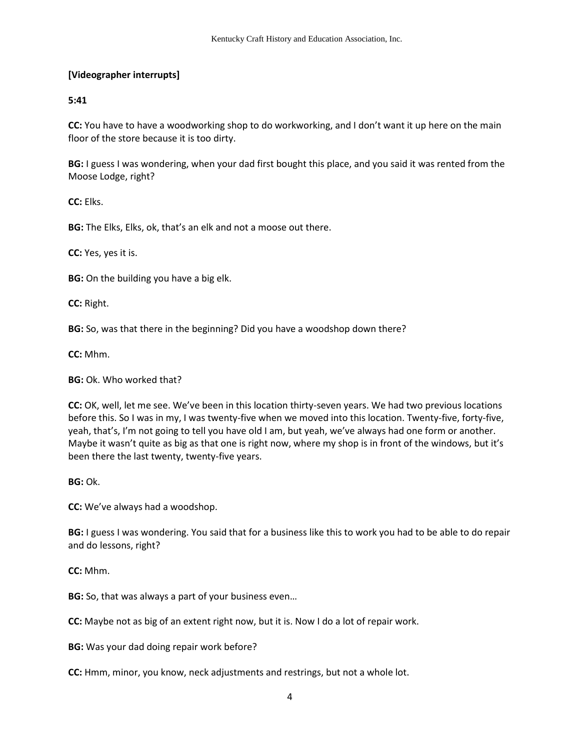## **[Videographer interrupts]**

**5:41**

**CC:** You have to have a woodworking shop to do workworking, and I don't want it up here on the main floor of the store because it is too dirty.

**BG:** I guess I was wondering, when your dad first bought this place, and you said it was rented from the Moose Lodge, right?

**CC:** Elks.

**BG:** The Elks, Elks, ok, that's an elk and not a moose out there.

**CC:** Yes, yes it is.

**BG:** On the building you have a big elk.

**CC:** Right.

**BG:** So, was that there in the beginning? Did you have a woodshop down there?

**CC:** Mhm.

**BG:** Ok. Who worked that?

**CC:** OK, well, let me see. We've been in this location thirty-seven years. We had two previous locations before this. So I was in my, I was twenty-five when we moved into this location. Twenty-five, forty-five, yeah, that's, I'm not going to tell you have old I am, but yeah, we've always had one form or another. Maybe it wasn't quite as big as that one is right now, where my shop is in front of the windows, but it's been there the last twenty, twenty-five years.

**BG:** Ok.

**CC:** We've always had a woodshop.

**BG:** I guess I was wondering. You said that for a business like this to work you had to be able to do repair and do lessons, right?

**CC:** Mhm.

**BG:** So, that was always a part of your business even…

**CC:** Maybe not as big of an extent right now, but it is. Now I do a lot of repair work.

**BG:** Was your dad doing repair work before?

**CC:** Hmm, minor, you know, neck adjustments and restrings, but not a whole lot.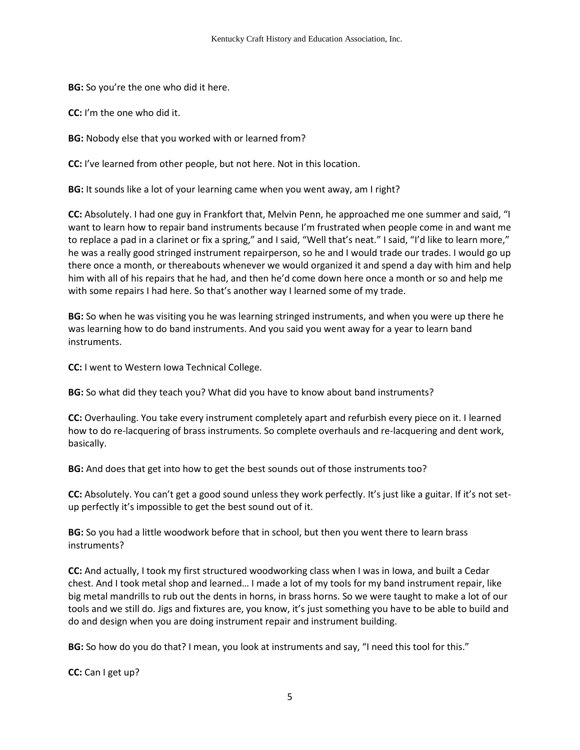**BG:** So you're the one who did it here.

**CC:** I'm the one who did it.

**BG:** Nobody else that you worked with or learned from?

**CC:** I've learned from other people, but not here. Not in this location.

**BG:** It sounds like a lot of your learning came when you went away, am I right?

**CC:** Absolutely. I had one guy in Frankfort that, Melvin Penn, he approached me one summer and said, "I want to learn how to repair band instruments because I'm frustrated when people come in and want me to replace a pad in a clarinet or fix a spring," and I said, "Well that's neat." I said, "I'd like to learn more," he was a really good stringed instrument repairperson, so he and I would trade our trades. I would go up there once a month, or thereabouts whenever we would organized it and spend a day with him and help him with all of his repairs that he had, and then he'd come down here once a month or so and help me with some repairs I had here. So that's another way I learned some of my trade.

**BG:** So when he was visiting you he was learning stringed instruments, and when you were up there he was learning how to do band instruments. And you said you went away for a year to learn band instruments.

**CC:** I went to Western Iowa Technical College.

**BG:** So what did they teach you? What did you have to know about band instruments?

**CC:** Overhauling. You take every instrument completely apart and refurbish every piece on it. I learned how to do re-lacquering of brass instruments. So complete overhauls and re-lacquering and dent work, basically.

**BG:** And does that get into how to get the best sounds out of those instruments too?

**CC:** Absolutely. You can't get a good sound unless they work perfectly. It's just like a guitar. If it's not setup perfectly it's impossible to get the best sound out of it.

**BG:** So you had a little woodwork before that in school, but then you went there to learn brass instruments?

**CC:** And actually, I took my first structured woodworking class when I was in Iowa, and built a Cedar chest. And I took metal shop and learned… I made a lot of my tools for my band instrument repair, like big metal mandrills to rub out the dents in horns, in brass horns. So we were taught to make a lot of our tools and we still do. Jigs and fixtures are, you know, it's just something you have to be able to build and do and design when you are doing instrument repair and instrument building.

**BG:** So how do you do that? I mean, you look at instruments and say, "I need this tool for this."

**CC:** Can I get up?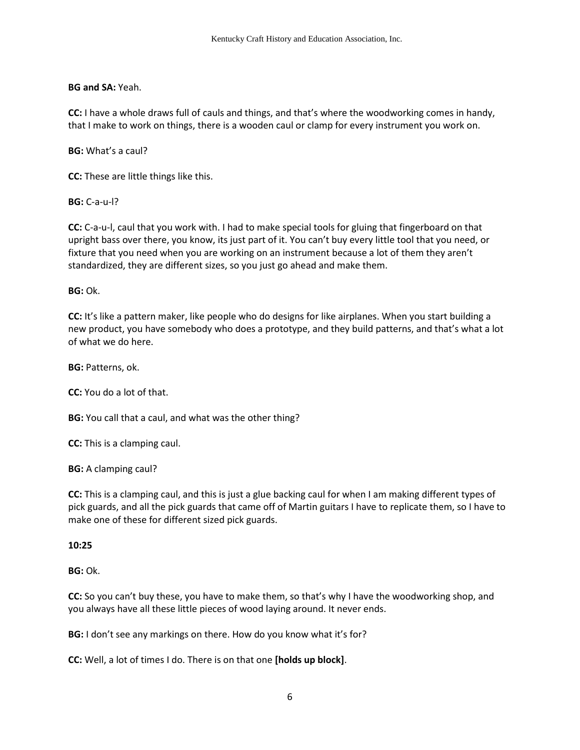## **BG and SA:** Yeah.

**CC:** I have a whole draws full of cauls and things, and that's where the woodworking comes in handy, that I make to work on things, there is a wooden caul or clamp for every instrument you work on.

**BG:** What's a caul?

**CC:** These are little things like this.

**BG:** C-a-u-l?

**CC:** C-a-u-l, caul that you work with. I had to make special tools for gluing that fingerboard on that upright bass over there, you know, its just part of it. You can't buy every little tool that you need, or fixture that you need when you are working on an instrument because a lot of them they aren't standardized, they are different sizes, so you just go ahead and make them.

### **BG:** Ok.

**CC:** It's like a pattern maker, like people who do designs for like airplanes. When you start building a new product, you have somebody who does a prototype, and they build patterns, and that's what a lot of what we do here.

**BG:** Patterns, ok.

**CC:** You do a lot of that.

**BG:** You call that a caul, and what was the other thing?

**CC:** This is a clamping caul.

**BG:** A clamping caul?

**CC:** This is a clamping caul, and this is just a glue backing caul for when I am making different types of pick guards, and all the pick guards that came off of Martin guitars I have to replicate them, so I have to make one of these for different sized pick guards.

### **10:25**

**BG:** Ok.

**CC:** So you can't buy these, you have to make them, so that's why I have the woodworking shop, and you always have all these little pieces of wood laying around. It never ends.

**BG:** I don't see any markings on there. How do you know what it's for?

**CC:** Well, a lot of times I do. There is on that one **[holds up block]**.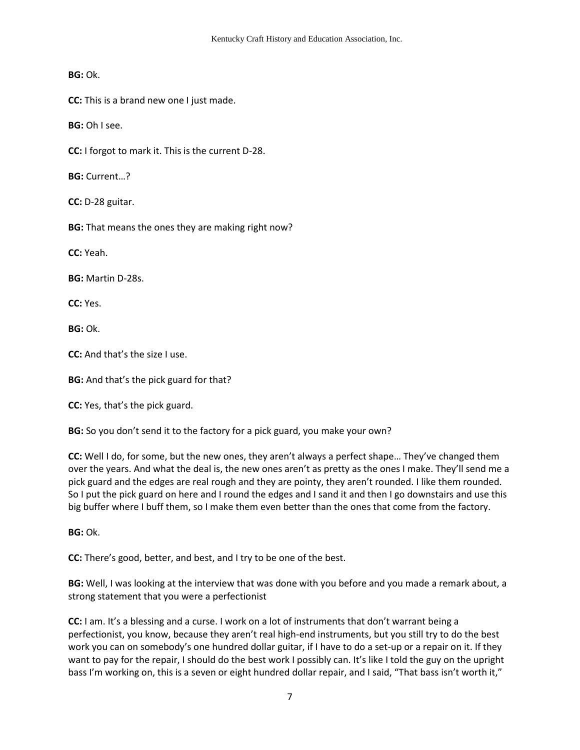**BG:** Ok.

**CC:** This is a brand new one I just made.

**BG:** Oh I see.

**CC:** I forgot to mark it. This is the current D-28.

**BG:** Current…?

**CC:** D-28 guitar.

**BG:** That means the ones they are making right now?

**CC:** Yeah.

**BG:** Martin D-28s.

**CC:** Yes.

**BG:** Ok.

**CC:** And that's the size I use.

**BG:** And that's the pick guard for that?

**CC:** Yes, that's the pick guard.

**BG:** So you don't send it to the factory for a pick guard, you make your own?

**CC:** Well I do, for some, but the new ones, they aren't always a perfect shape… They've changed them over the years. And what the deal is, the new ones aren't as pretty as the ones I make. They'll send me a pick guard and the edges are real rough and they are pointy, they aren't rounded. I like them rounded. So I put the pick guard on here and I round the edges and I sand it and then I go downstairs and use this big buffer where I buff them, so I make them even better than the ones that come from the factory.

**BG:** Ok.

**CC:** There's good, better, and best, and I try to be one of the best.

**BG:** Well, I was looking at the interview that was done with you before and you made a remark about, a strong statement that you were a perfectionist

**CC:** I am. It's a blessing and a curse. I work on a lot of instruments that don't warrant being a perfectionist, you know, because they aren't real high-end instruments, but you still try to do the best work you can on somebody's one hundred dollar guitar, if I have to do a set-up or a repair on it. If they want to pay for the repair, I should do the best work I possibly can. It's like I told the guy on the upright bass I'm working on, this is a seven or eight hundred dollar repair, and I said, "That bass isn't worth it,"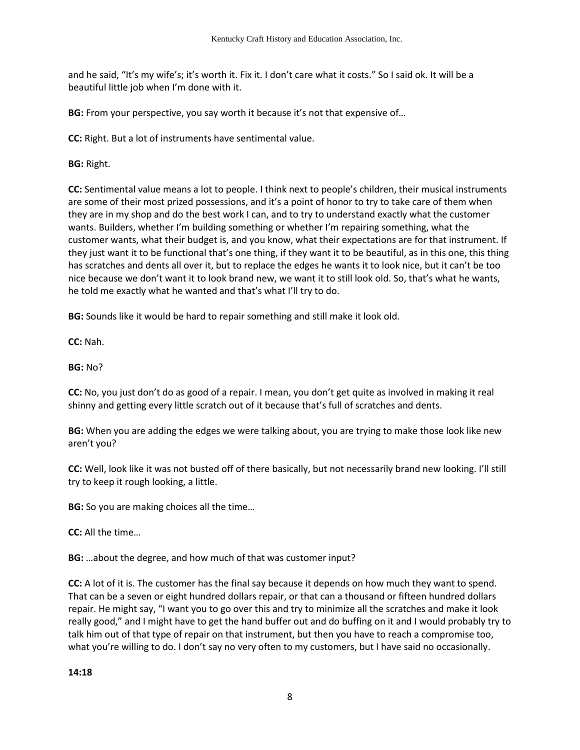and he said, "It's my wife's; it's worth it. Fix it. I don't care what it costs." So I said ok. It will be a beautiful little job when I'm done with it.

**BG:** From your perspective, you say worth it because it's not that expensive of...

**CC:** Right. But a lot of instruments have sentimental value.

**BG:** Right.

**CC:** Sentimental value means a lot to people. I think next to people's children, their musical instruments are some of their most prized possessions, and it's a point of honor to try to take care of them when they are in my shop and do the best work I can, and to try to understand exactly what the customer wants. Builders, whether I'm building something or whether I'm repairing something, what the customer wants, what their budget is, and you know, what their expectations are for that instrument. If they just want it to be functional that's one thing, if they want it to be beautiful, as in this one, this thing has scratches and dents all over it, but to replace the edges he wants it to look nice, but it can't be too nice because we don't want it to look brand new, we want it to still look old. So, that's what he wants, he told me exactly what he wanted and that's what I'll try to do.

**BG:** Sounds like it would be hard to repair something and still make it look old.

**CC:** Nah.

**BG:** No?

**CC:** No, you just don't do as good of a repair. I mean, you don't get quite as involved in making it real shinny and getting every little scratch out of it because that's full of scratches and dents.

**BG:** When you are adding the edges we were talking about, you are trying to make those look like new aren't you?

**CC:** Well, look like it was not busted off of there basically, but not necessarily brand new looking. I'll still try to keep it rough looking, a little.

**BG:** So you are making choices all the time…

**CC:** All the time…

**BG:** …about the degree, and how much of that was customer input?

**CC:** A lot of it is. The customer has the final say because it depends on how much they want to spend. That can be a seven or eight hundred dollars repair, or that can a thousand or fifteen hundred dollars repair. He might say, "I want you to go over this and try to minimize all the scratches and make it look really good," and I might have to get the hand buffer out and do buffing on it and I would probably try to talk him out of that type of repair on that instrument, but then you have to reach a compromise too, what you're willing to do. I don't say no very often to my customers, but I have said no occasionally.

**14:18**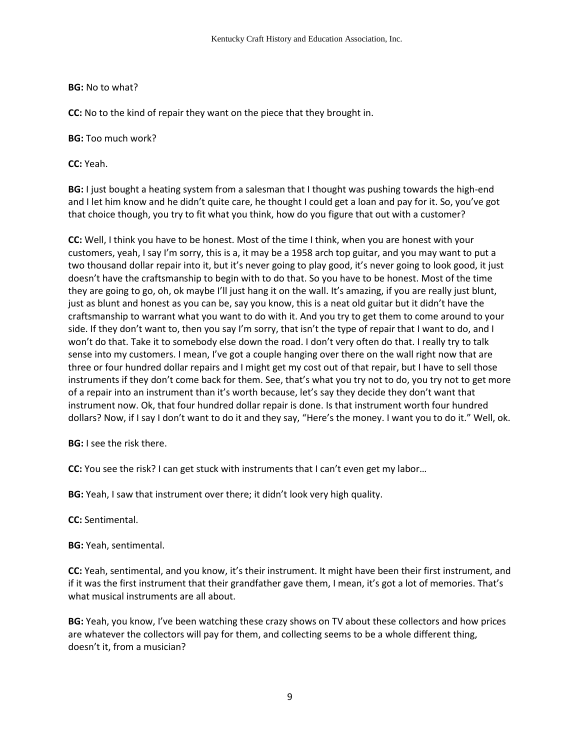## **BG:** No to what?

**CC:** No to the kind of repair they want on the piece that they brought in.

**BG:** Too much work?

**CC:** Yeah.

**BG:** I just bought a heating system from a salesman that I thought was pushing towards the high-end and I let him know and he didn't quite care, he thought I could get a loan and pay for it. So, you've got that choice though, you try to fit what you think, how do you figure that out with a customer?

**CC:** Well, I think you have to be honest. Most of the time I think, when you are honest with your customers, yeah, I say I'm sorry, this is a, it may be a 1958 arch top guitar, and you may want to put a two thousand dollar repair into it, but it's never going to play good, it's never going to look good, it just doesn't have the craftsmanship to begin with to do that. So you have to be honest. Most of the time they are going to go, oh, ok maybe I'll just hang it on the wall. It's amazing, if you are really just blunt, just as blunt and honest as you can be, say you know, this is a neat old guitar but it didn't have the craftsmanship to warrant what you want to do with it. And you try to get them to come around to your side. If they don't want to, then you say I'm sorry, that isn't the type of repair that I want to do, and I won't do that. Take it to somebody else down the road. I don't very often do that. I really try to talk sense into my customers. I mean, I've got a couple hanging over there on the wall right now that are three or four hundred dollar repairs and I might get my cost out of that repair, but I have to sell those instruments if they don't come back for them. See, that's what you try not to do, you try not to get more of a repair into an instrument than it's worth because, let's say they decide they don't want that instrument now. Ok, that four hundred dollar repair is done. Is that instrument worth four hundred dollars? Now, if I say I don't want to do it and they say, "Here's the money. I want you to do it." Well, ok.

**BG:** I see the risk there.

**CC:** You see the risk? I can get stuck with instruments that I can't even get my labor…

**BG:** Yeah, I saw that instrument over there; it didn't look very high quality.

**CC:** Sentimental.

**BG:** Yeah, sentimental.

**CC:** Yeah, sentimental, and you know, it's their instrument. It might have been their first instrument, and if it was the first instrument that their grandfather gave them, I mean, it's got a lot of memories. That's what musical instruments are all about.

**BG:** Yeah, you know, I've been watching these crazy shows on TV about these collectors and how prices are whatever the collectors will pay for them, and collecting seems to be a whole different thing, doesn't it, from a musician?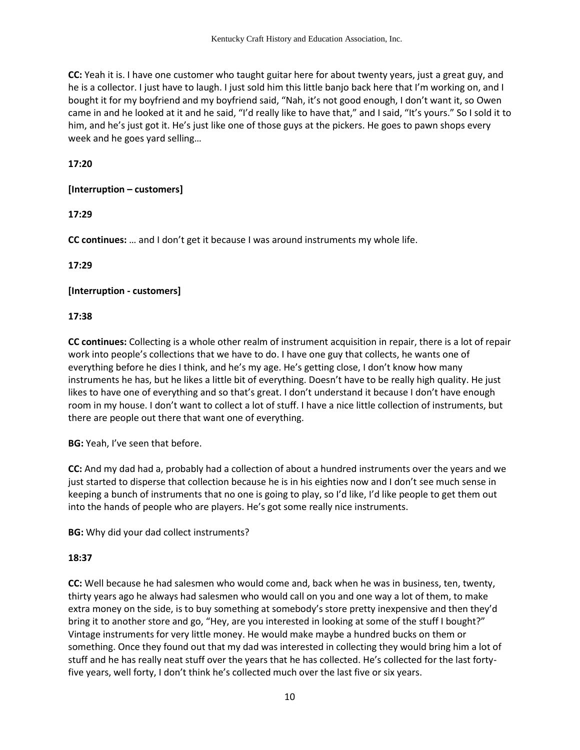**CC:** Yeah it is. I have one customer who taught guitar here for about twenty years, just a great guy, and he is a collector. I just have to laugh. I just sold him this little banjo back here that I'm working on, and I bought it for my boyfriend and my boyfriend said, "Nah, it's not good enough, I don't want it, so Owen came in and he looked at it and he said, "I'd really like to have that," and I said, "It's yours." So I sold it to him, and he's just got it. He's just like one of those guys at the pickers. He goes to pawn shops every week and he goes yard selling…

**17:20** 

## **[Interruption – customers]**

## **17:29**

**CC continues:** … and I don't get it because I was around instruments my whole life.

**17:29**

## **[Interruption - customers]**

### **17:38**

**CC continues:** Collecting is a whole other realm of instrument acquisition in repair, there is a lot of repair work into people's collections that we have to do. I have one guy that collects, he wants one of everything before he dies I think, and he's my age. He's getting close, I don't know how many instruments he has, but he likes a little bit of everything. Doesn't have to be really high quality. He just likes to have one of everything and so that's great. I don't understand it because I don't have enough room in my house. I don't want to collect a lot of stuff. I have a nice little collection of instruments, but there are people out there that want one of everything.

**BG:** Yeah, I've seen that before.

**CC:** And my dad had a, probably had a collection of about a hundred instruments over the years and we just started to disperse that collection because he is in his eighties now and I don't see much sense in keeping a bunch of instruments that no one is going to play, so I'd like, I'd like people to get them out into the hands of people who are players. He's got some really nice instruments.

**BG:** Why did your dad collect instruments?

### **18:37**

**CC:** Well because he had salesmen who would come and, back when he was in business, ten, twenty, thirty years ago he always had salesmen who would call on you and one way a lot of them, to make extra money on the side, is to buy something at somebody's store pretty inexpensive and then they'd bring it to another store and go, "Hey, are you interested in looking at some of the stuff I bought?" Vintage instruments for very little money. He would make maybe a hundred bucks on them or something. Once they found out that my dad was interested in collecting they would bring him a lot of stuff and he has really neat stuff over the years that he has collected. He's collected for the last fortyfive years, well forty, I don't think he's collected much over the last five or six years.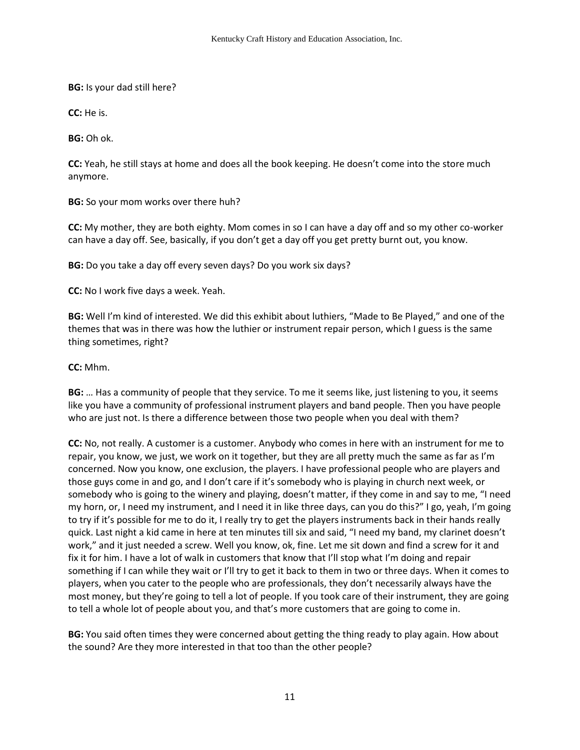**BG:** Is your dad still here?

**CC:** He is.

**BG:** Oh ok.

**CC:** Yeah, he still stays at home and does all the book keeping. He doesn't come into the store much anymore.

**BG:** So your mom works over there huh?

**CC:** My mother, they are both eighty. Mom comes in so I can have a day off and so my other co-worker can have a day off. See, basically, if you don't get a day off you get pretty burnt out, you know.

**BG:** Do you take a day off every seven days? Do you work six days?

**CC:** No I work five days a week. Yeah.

**BG:** Well I'm kind of interested. We did this exhibit about luthiers, "Made to Be Played," and one of the themes that was in there was how the luthier or instrument repair person, which I guess is the same thing sometimes, right?

**CC:** Mhm.

**BG:** … Has a community of people that they service. To me it seems like, just listening to you, it seems like you have a community of professional instrument players and band people. Then you have people who are just not. Is there a difference between those two people when you deal with them?

**CC:** No, not really. A customer is a customer. Anybody who comes in here with an instrument for me to repair, you know, we just, we work on it together, but they are all pretty much the same as far as I'm concerned. Now you know, one exclusion, the players. I have professional people who are players and those guys come in and go, and I don't care if it's somebody who is playing in church next week, or somebody who is going to the winery and playing, doesn't matter, if they come in and say to me, "I need my horn, or, I need my instrument, and I need it in like three days, can you do this?" I go, yeah, I'm going to try if it's possible for me to do it, I really try to get the players instruments back in their hands really quick. Last night a kid came in here at ten minutes till six and said, "I need my band, my clarinet doesn't work," and it just needed a screw. Well you know, ok, fine. Let me sit down and find a screw for it and fix it for him. I have a lot of walk in customers that know that I'll stop what I'm doing and repair something if I can while they wait or I'll try to get it back to them in two or three days. When it comes to players, when you cater to the people who are professionals, they don't necessarily always have the most money, but they're going to tell a lot of people. If you took care of their instrument, they are going to tell a whole lot of people about you, and that's more customers that are going to come in.

**BG:** You said often times they were concerned about getting the thing ready to play again. How about the sound? Are they more interested in that too than the other people?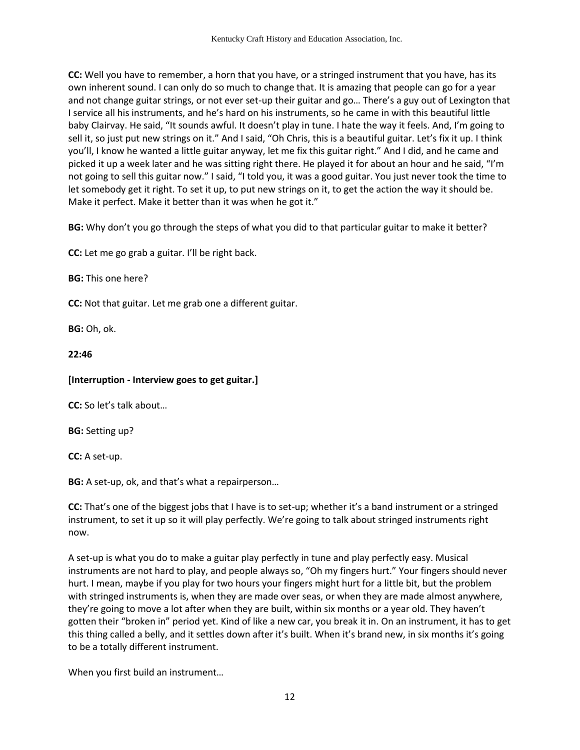**CC:** Well you have to remember, a horn that you have, or a stringed instrument that you have, has its own inherent sound. I can only do so much to change that. It is amazing that people can go for a year and not change guitar strings, or not ever set-up their guitar and go… There's a guy out of Lexington that I service all his instruments, and he's hard on his instruments, so he came in with this beautiful little baby Clairvay. He said, "It sounds awful. It doesn't play in tune. I hate the way it feels. And, I'm going to sell it, so just put new strings on it." And I said, "Oh Chris, this is a beautiful guitar. Let's fix it up. I think you'll, I know he wanted a little guitar anyway, let me fix this guitar right." And I did, and he came and picked it up a week later and he was sitting right there. He played it for about an hour and he said, "I'm not going to sell this guitar now." I said, "I told you, it was a good guitar. You just never took the time to let somebody get it right. To set it up, to put new strings on it, to get the action the way it should be. Make it perfect. Make it better than it was when he got it."

**BG:** Why don't you go through the steps of what you did to that particular guitar to make it better?

**CC:** Let me go grab a guitar. I'll be right back.

**BG:** This one here?

**CC:** Not that guitar. Let me grab one a different guitar.

**BG:** Oh, ok.

### **22:46**

### **[Interruption - Interview goes to get guitar.]**

**CC:** So let's talk about…

**BG:** Setting up?

**CC:** A set-up.

**BG:** A set-up, ok, and that's what a repairperson…

**CC:** That's one of the biggest jobs that I have is to set-up; whether it's a band instrument or a stringed instrument, to set it up so it will play perfectly. We're going to talk about stringed instruments right now.

A set-up is what you do to make a guitar play perfectly in tune and play perfectly easy. Musical instruments are not hard to play, and people always so, "Oh my fingers hurt." Your fingers should never hurt. I mean, maybe if you play for two hours your fingers might hurt for a little bit, but the problem with stringed instruments is, when they are made over seas, or when they are made almost anywhere, they're going to move a lot after when they are built, within six months or a year old. They haven't gotten their "broken in" period yet. Kind of like a new car, you break it in. On an instrument, it has to get this thing called a belly, and it settles down after it's built. When it's brand new, in six months it's going to be a totally different instrument.

When you first build an instrument…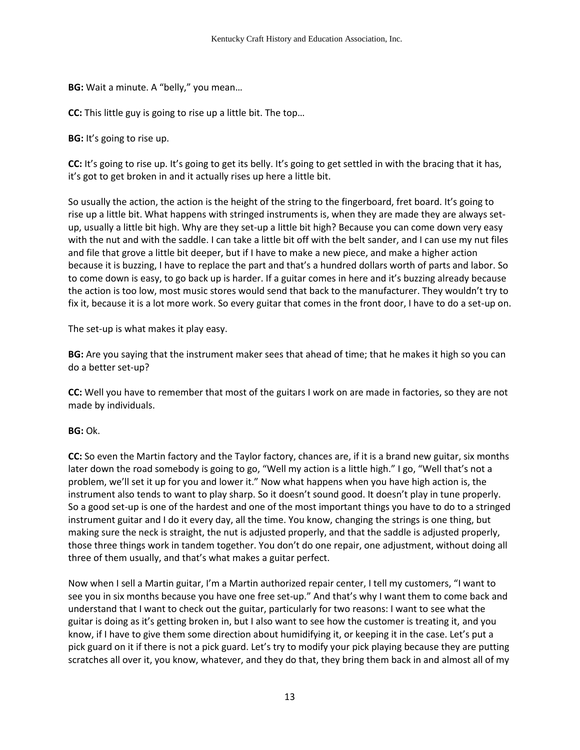**BG:** Wait a minute. A "belly," you mean…

**CC:** This little guy is going to rise up a little bit. The top…

**BG:** It's going to rise up.

**CC:** It's going to rise up. It's going to get its belly. It's going to get settled in with the bracing that it has, it's got to get broken in and it actually rises up here a little bit.

So usually the action, the action is the height of the string to the fingerboard, fret board. It's going to rise up a little bit. What happens with stringed instruments is, when they are made they are always setup, usually a little bit high. Why are they set-up a little bit high? Because you can come down very easy with the nut and with the saddle. I can take a little bit off with the belt sander, and I can use my nut files and file that grove a little bit deeper, but if I have to make a new piece, and make a higher action because it is buzzing, I have to replace the part and that's a hundred dollars worth of parts and labor. So to come down is easy, to go back up is harder. If a guitar comes in here and it's buzzing already because the action is too low, most music stores would send that back to the manufacturer. They wouldn't try to fix it, because it is a lot more work. So every guitar that comes in the front door, I have to do a set-up on.

The set-up is what makes it play easy.

**BG:** Are you saying that the instrument maker sees that ahead of time; that he makes it high so you can do a better set-up?

**CC:** Well you have to remember that most of the guitars I work on are made in factories, so they are not made by individuals.

#### **BG:** Ok.

**CC:** So even the Martin factory and the Taylor factory, chances are, if it is a brand new guitar, six months later down the road somebody is going to go, "Well my action is a little high." I go, "Well that's not a problem, we'll set it up for you and lower it." Now what happens when you have high action is, the instrument also tends to want to play sharp. So it doesn't sound good. It doesn't play in tune properly. So a good set-up is one of the hardest and one of the most important things you have to do to a stringed instrument guitar and I do it every day, all the time. You know, changing the strings is one thing, but making sure the neck is straight, the nut is adjusted properly, and that the saddle is adjusted properly, those three things work in tandem together. You don't do one repair, one adjustment, without doing all three of them usually, and that's what makes a guitar perfect.

Now when I sell a Martin guitar, I'm a Martin authorized repair center, I tell my customers, "I want to see you in six months because you have one free set-up." And that's why I want them to come back and understand that I want to check out the guitar, particularly for two reasons: I want to see what the guitar is doing as it's getting broken in, but I also want to see how the customer is treating it, and you know, if I have to give them some direction about humidifying it, or keeping it in the case. Let's put a pick guard on it if there is not a pick guard. Let's try to modify your pick playing because they are putting scratches all over it, you know, whatever, and they do that, they bring them back in and almost all of my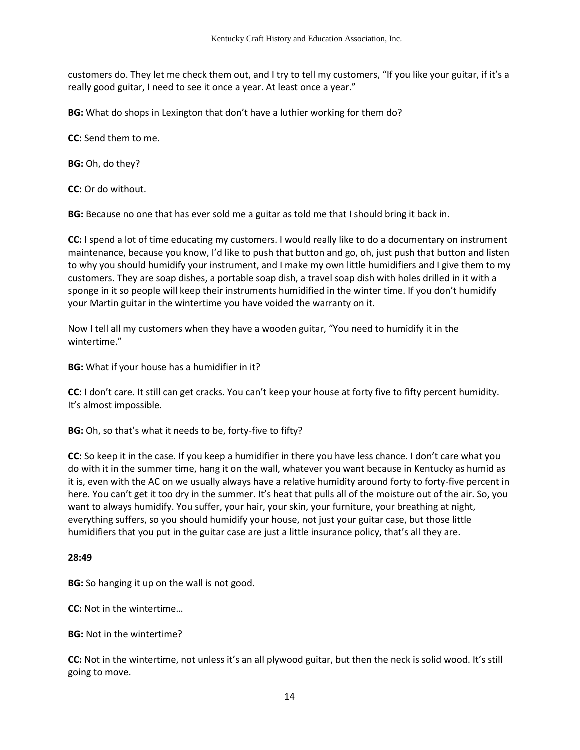customers do. They let me check them out, and I try to tell my customers, "If you like your guitar, if it's a really good guitar, I need to see it once a year. At least once a year."

**BG:** What do shops in Lexington that don't have a luthier working for them do?

**CC:** Send them to me.

**BG:** Oh, do they?

**CC:** Or do without.

**BG:** Because no one that has ever sold me a guitar as told me that I should bring it back in.

**CC:** I spend a lot of time educating my customers. I would really like to do a documentary on instrument maintenance, because you know, I'd like to push that button and go, oh, just push that button and listen to why you should humidify your instrument, and I make my own little humidifiers and I give them to my customers. They are soap dishes, a portable soap dish, a travel soap dish with holes drilled in it with a sponge in it so people will keep their instruments humidified in the winter time. If you don't humidify your Martin guitar in the wintertime you have voided the warranty on it.

Now I tell all my customers when they have a wooden guitar, "You need to humidify it in the wintertime."

**BG:** What if your house has a humidifier in it?

**CC:** I don't care. It still can get cracks. You can't keep your house at forty five to fifty percent humidity. It's almost impossible.

**BG:** Oh, so that's what it needs to be, forty-five to fifty?

**CC:** So keep it in the case. If you keep a humidifier in there you have less chance. I don't care what you do with it in the summer time, hang it on the wall, whatever you want because in Kentucky as humid as it is, even with the AC on we usually always have a relative humidity around forty to forty-five percent in here. You can't get it too dry in the summer. It's heat that pulls all of the moisture out of the air. So, you want to always humidify. You suffer, your hair, your skin, your furniture, your breathing at night, everything suffers, so you should humidify your house, not just your guitar case, but those little humidifiers that you put in the guitar case are just a little insurance policy, that's all they are.

### **28:49**

**BG:** So hanging it up on the wall is not good.

**CC:** Not in the wintertime…

**BG:** Not in the wintertime?

**CC:** Not in the wintertime, not unless it's an all plywood guitar, but then the neck is solid wood. It's still going to move.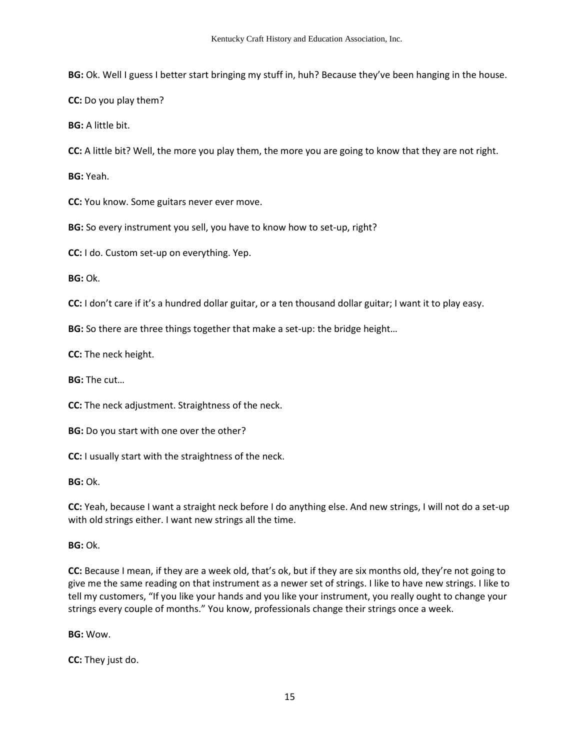**BG:** Ok. Well I guess I better start bringing my stuff in, huh? Because they've been hanging in the house.

**CC:** Do you play them?

**BG:** A little bit.

**CC:** A little bit? Well, the more you play them, the more you are going to know that they are not right.

**BG:** Yeah.

**CC:** You know. Some guitars never ever move.

**BG:** So every instrument you sell, you have to know how to set-up, right?

**CC:** I do. Custom set-up on everything. Yep.

**BG:** Ok.

**CC:** I don't care if it's a hundred dollar guitar, or a ten thousand dollar guitar; I want it to play easy.

**BG:** So there are three things together that make a set-up: the bridge height…

**CC:** The neck height.

**BG:** The cut…

**CC:** The neck adjustment. Straightness of the neck.

**BG:** Do you start with one over the other?

**CC:** I usually start with the straightness of the neck.

**BG:** Ok.

**CC:** Yeah, because I want a straight neck before I do anything else. And new strings, I will not do a set-up with old strings either. I want new strings all the time.

**BG:** Ok.

**CC:** Because I mean, if they are a week old, that's ok, but if they are six months old, they're not going to give me the same reading on that instrument as a newer set of strings. I like to have new strings. I like to tell my customers, "If you like your hands and you like your instrument, you really ought to change your strings every couple of months." You know, professionals change their strings once a week.

**BG:** Wow.

**CC:** They just do.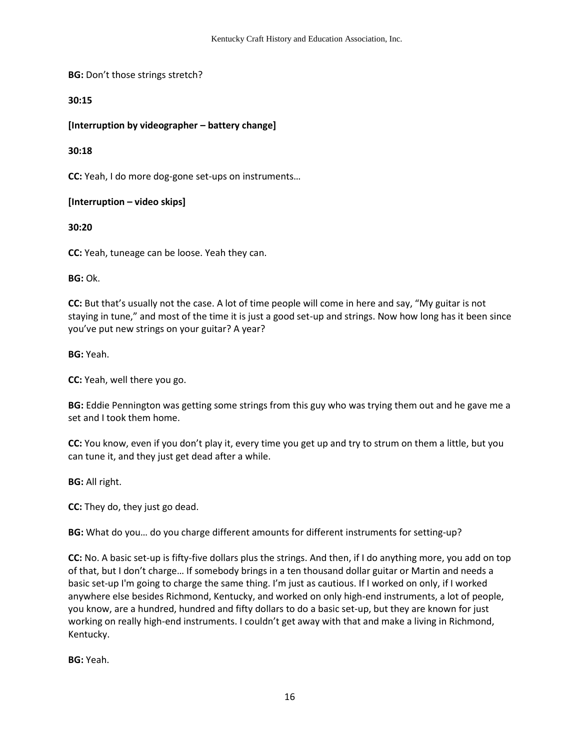**BG:** Don't those strings stretch?

**30:15** 

**[Interruption by videographer – battery change]** 

**30:18**

**CC:** Yeah, I do more dog-gone set-ups on instruments…

**[Interruption – video skips]** 

**30:20** 

**CC:** Yeah, tuneage can be loose. Yeah they can.

**BG:** Ok.

**CC:** But that's usually not the case. A lot of time people will come in here and say, "My guitar is not staying in tune," and most of the time it is just a good set-up and strings. Now how long has it been since you've put new strings on your guitar? A year?

**BG:** Yeah.

**CC:** Yeah, well there you go.

**BG:** Eddie Pennington was getting some strings from this guy who was trying them out and he gave me a set and I took them home.

**CC:** You know, even if you don't play it, every time you get up and try to strum on them a little, but you can tune it, and they just get dead after a while.

**BG:** All right.

**CC:** They do, they just go dead.

**BG:** What do you… do you charge different amounts for different instruments for setting-up?

**CC:** No. A basic set-up is fifty-five dollars plus the strings. And then, if I do anything more, you add on top of that, but I don't charge… If somebody brings in a ten thousand dollar guitar or Martin and needs a basic set-up I'm going to charge the same thing. I'm just as cautious. If I worked on only, if I worked anywhere else besides Richmond, Kentucky, and worked on only high-end instruments, a lot of people, you know, are a hundred, hundred and fifty dollars to do a basic set-up, but they are known for just working on really high-end instruments. I couldn't get away with that and make a living in Richmond, Kentucky.

**BG:** Yeah.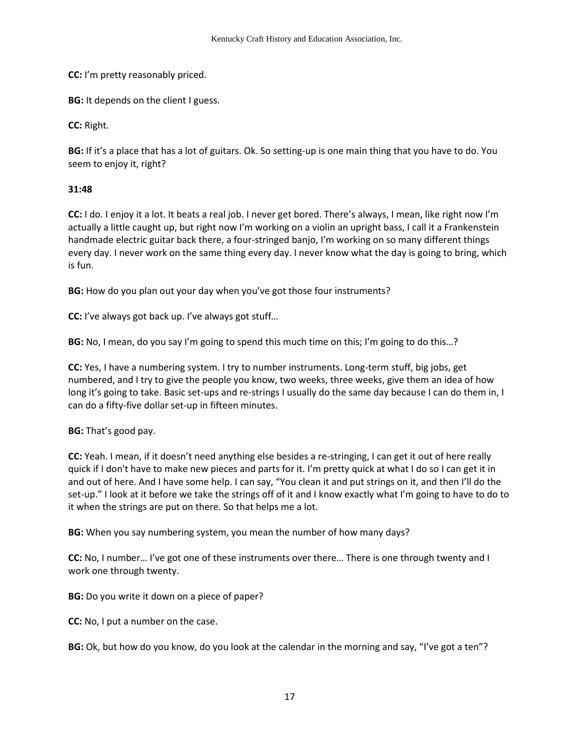**CC:** I'm pretty reasonably priced.

**BG:** It depends on the client I guess.

**CC:** Right.

**BG:** If it's a place that has a lot of guitars. Ok. So setting-up is one main thing that you have to do. You seem to enjoy it, right?

### **31:48**

**CC:** I do. I enjoy it a lot. It beats a real job. I never get bored. There's always, I mean, like right now I'm actually a little caught up, but right now I'm working on a violin an upright bass, I call it a Frankenstein handmade electric guitar back there, a four-stringed banjo, I'm working on so many different things every day. I never work on the same thing every day. I never know what the day is going to bring, which is fun.

**BG:** How do you plan out your day when you've got those four instruments?

**CC:** I've always got back up. I've always got stuff…

**BG:** No, I mean, do you say I'm going to spend this much time on this; I'm going to do this…?

**CC:** Yes, I have a numbering system. I try to number instruments. Long-term stuff, big jobs, get numbered, and I try to give the people you know, two weeks, three weeks, give them an idea of how long it's going to take. Basic set-ups and re-strings I usually do the same day because I can do them in, I can do a fifty-five dollar set-up in fifteen minutes.

**BG:** That's good pay.

**CC:** Yeah. I mean, if it doesn't need anything else besides a re-stringing, I can get it out of here really quick if I don't have to make new pieces and parts for it. I'm pretty quick at what I do so I can get it in and out of here. And I have some help. I can say, "You clean it and put strings on it, and then I'll do the set-up." I look at it before we take the strings off of it and I know exactly what I'm going to have to do to it when the strings are put on there. So that helps me a lot.

**BG:** When you say numbering system, you mean the number of how many days?

**CC:** No, I number… I've got one of these instruments over there… There is one through twenty and I work one through twenty.

**BG:** Do you write it down on a piece of paper?

**CC:** No, I put a number on the case.

**BG:** Ok, but how do you know, do you look at the calendar in the morning and say, "I've got a ten"?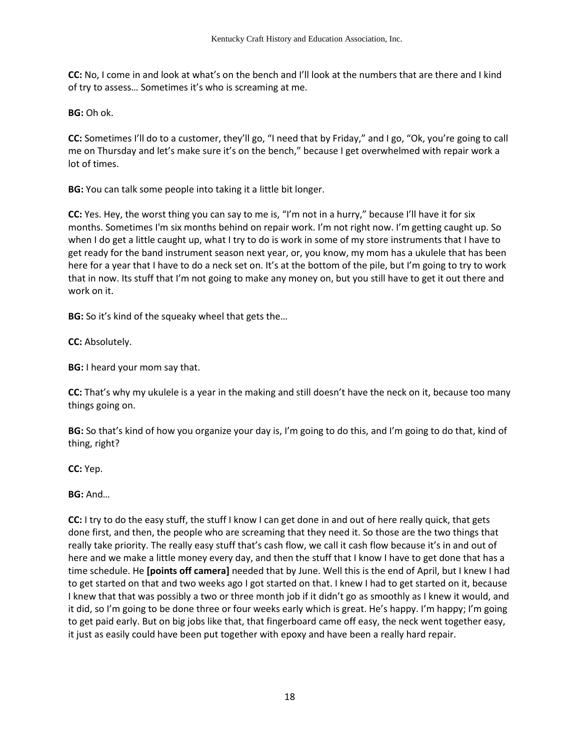**CC:** No, I come in and look at what's on the bench and I'll look at the numbers that are there and I kind of try to assess… Sometimes it's who is screaming at me.

**BG:** Oh ok.

**CC:** Sometimes I'll do to a customer, they'll go, "I need that by Friday," and I go, "Ok, you're going to call me on Thursday and let's make sure it's on the bench," because I get overwhelmed with repair work a lot of times.

**BG:** You can talk some people into taking it a little bit longer.

**CC:** Yes. Hey, the worst thing you can say to me is, "I'm not in a hurry," because I'll have it for six months. Sometimes I'm six months behind on repair work. I'm not right now. I'm getting caught up. So when I do get a little caught up, what I try to do is work in some of my store instruments that I have to get ready for the band instrument season next year, or, you know, my mom has a ukulele that has been here for a year that I have to do a neck set on. It's at the bottom of the pile, but I'm going to try to work that in now. Its stuff that I'm not going to make any money on, but you still have to get it out there and work on it.

**BG:** So it's kind of the squeaky wheel that gets the…

**CC:** Absolutely.

**BG:** I heard your mom say that.

**CC:** That's why my ukulele is a year in the making and still doesn't have the neck on it, because too many things going on.

**BG:** So that's kind of how you organize your day is, I'm going to do this, and I'm going to do that, kind of thing, right?

**CC:** Yep.

**BG:** And…

**CC:** I try to do the easy stuff, the stuff I know I can get done in and out of here really quick, that gets done first, and then, the people who are screaming that they need it. So those are the two things that really take priority. The really easy stuff that's cash flow, we call it cash flow because it's in and out of here and we make a little money every day, and then the stuff that I know I have to get done that has a time schedule. He **[points off camera]** needed that by June. Well this is the end of April, but I knew I had to get started on that and two weeks ago I got started on that. I knew I had to get started on it, because I knew that that was possibly a two or three month job if it didn't go as smoothly as I knew it would, and it did, so I'm going to be done three or four weeks early which is great. He's happy. I'm happy; I'm going to get paid early. But on big jobs like that, that fingerboard came off easy, the neck went together easy, it just as easily could have been put together with epoxy and have been a really hard repair.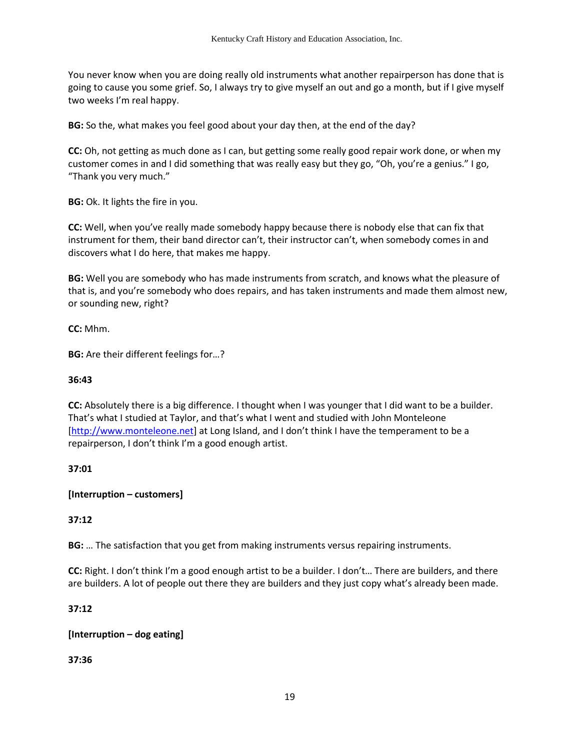You never know when you are doing really old instruments what another repairperson has done that is going to cause you some grief. So, I always try to give myself an out and go a month, but if I give myself two weeks I'm real happy.

**BG:** So the, what makes you feel good about your day then, at the end of the day?

**CC:** Oh, not getting as much done as I can, but getting some really good repair work done, or when my customer comes in and I did something that was really easy but they go, "Oh, you're a genius." I go, "Thank you very much."

**BG:** Ok. It lights the fire in you.

**CC:** Well, when you've really made somebody happy because there is nobody else that can fix that instrument for them, their band director can't, their instructor can't, when somebody comes in and discovers what I do here, that makes me happy.

**BG:** Well you are somebody who has made instruments from scratch, and knows what the pleasure of that is, and you're somebody who does repairs, and has taken instruments and made them almost new, or sounding new, right?

**CC:** Mhm.

**BG:** Are their different feelings for…?

#### **36:43**

**CC:** Absolutely there is a big difference. I thought when I was younger that I did want to be a builder. That's what I studied at Taylor, and that's what I went and studied with John Monteleone [\[http://www.monteleone.net](http://www.monteleone.net/)] at Long Island, and I don't think I have the temperament to be a repairperson, I don't think I'm a good enough artist.

### **37:01**

#### **[Interruption – customers]**

### **37:12**

**BG:** … The satisfaction that you get from making instruments versus repairing instruments.

**CC:** Right. I don't think I'm a good enough artist to be a builder. I don't… There are builders, and there are builders. A lot of people out there they are builders and they just copy what's already been made.

### **37:12**

### **[Interruption – dog eating]**

**37:36**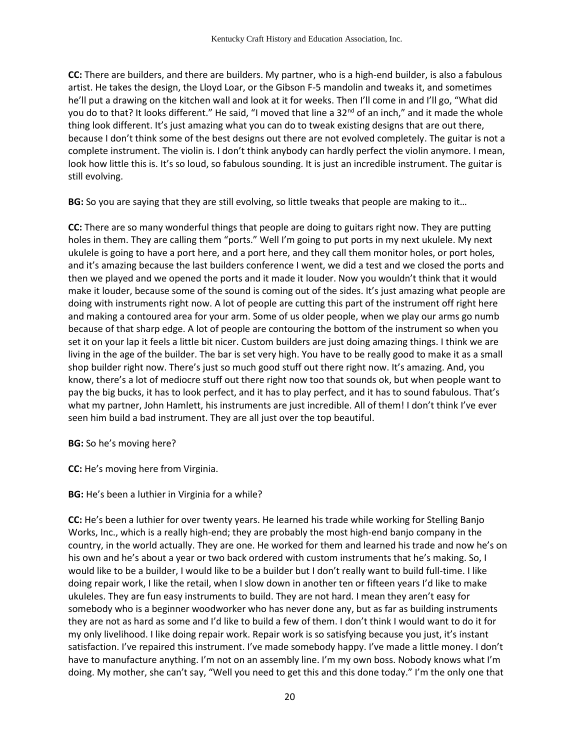**CC:** There are builders, and there are builders. My partner, who is a high-end builder, is also a fabulous artist. He takes the design, the Lloyd Loar, or the Gibson F-5 mandolin and tweaks it, and sometimes he'll put a drawing on the kitchen wall and look at it for weeks. Then I'll come in and I'll go, "What did you do to that? It looks different." He said, "I moved that line a  $32<sup>nd</sup>$  of an inch," and it made the whole thing look different. It's just amazing what you can do to tweak existing designs that are out there, because I don't think some of the best designs out there are not evolved completely. The guitar is not a complete instrument. The violin is. I don't think anybody can hardly perfect the violin anymore. I mean, look how little this is. It's so loud, so fabulous sounding. It is just an incredible instrument. The guitar is still evolving.

**BG:** So you are saying that they are still evolving, so little tweaks that people are making to it…

**CC:** There are so many wonderful things that people are doing to guitars right now. They are putting holes in them. They are calling them "ports." Well I'm going to put ports in my next ukulele. My next ukulele is going to have a port here, and a port here, and they call them monitor holes, or port holes, and it's amazing because the last builders conference I went, we did a test and we closed the ports and then we played and we opened the ports and it made it louder. Now you wouldn't think that it would make it louder, because some of the sound is coming out of the sides. It's just amazing what people are doing with instruments right now. A lot of people are cutting this part of the instrument off right here and making a contoured area for your arm. Some of us older people, when we play our arms go numb because of that sharp edge. A lot of people are contouring the bottom of the instrument so when you set it on your lap it feels a little bit nicer. Custom builders are just doing amazing things. I think we are living in the age of the builder. The bar is set very high. You have to be really good to make it as a small shop builder right now. There's just so much good stuff out there right now. It's amazing. And, you know, there's a lot of mediocre stuff out there right now too that sounds ok, but when people want to pay the big bucks, it has to look perfect, and it has to play perfect, and it has to sound fabulous. That's what my partner, John Hamlett, his instruments are just incredible. All of them! I don't think I've ever seen him build a bad instrument. They are all just over the top beautiful.

**BG:** So he's moving here?

**CC:** He's moving here from Virginia.

**BG:** He's been a luthier in Virginia for a while?

**CC:** He's been a luthier for over twenty years. He learned his trade while working for Stelling Banjo Works, Inc., which is a really high-end; they are probably the most high-end banjo company in the country, in the world actually. They are one. He worked for them and learned his trade and now he's on his own and he's about a year or two back ordered with custom instruments that he's making. So, I would like to be a builder, I would like to be a builder but I don't really want to build full-time. I like doing repair work, I like the retail, when I slow down in another ten or fifteen years I'd like to make ukuleles. They are fun easy instruments to build. They are not hard. I mean they aren't easy for somebody who is a beginner woodworker who has never done any, but as far as building instruments they are not as hard as some and I'd like to build a few of them. I don't think I would want to do it for my only livelihood. I like doing repair work. Repair work is so satisfying because you just, it's instant satisfaction. I've repaired this instrument. I've made somebody happy. I've made a little money. I don't have to manufacture anything. I'm not on an assembly line. I'm my own boss. Nobody knows what I'm doing. My mother, she can't say, "Well you need to get this and this done today." I'm the only one that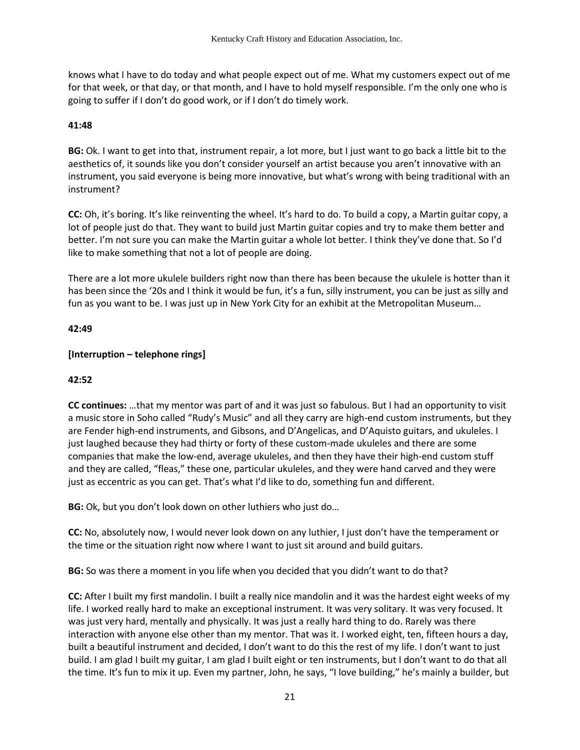knows what I have to do today and what people expect out of me. What my customers expect out of me for that week, or that day, or that month, and I have to hold myself responsible. I'm the only one who is going to suffer if I don't do good work, or if I don't do timely work.

### **41:48**

**BG:** Ok. I want to get into that, instrument repair, a lot more, but I just want to go back a little bit to the aesthetics of, it sounds like you don't consider yourself an artist because you aren't innovative with an instrument, you said everyone is being more innovative, but what's wrong with being traditional with an instrument?

**CC:** Oh, it's boring. It's like reinventing the wheel. It's hard to do. To build a copy, a Martin guitar copy, a lot of people just do that. They want to build just Martin guitar copies and try to make them better and better. I'm not sure you can make the Martin guitar a whole lot better. I think they've done that. So I'd like to make something that not a lot of people are doing.

There are a lot more ukulele builders right now than there has been because the ukulele is hotter than it has been since the '20s and I think it would be fun, it's a fun, silly instrument, you can be just as silly and fun as you want to be. I was just up in New York City for an exhibit at the Metropolitan Museum…

### **42:49**

## **[Interruption – telephone rings]**

### **42:52**

**CC continues:** …that my mentor was part of and it was just so fabulous. But I had an opportunity to visit a music store in Soho called "Rudy's Music" and all they carry are high-end custom instruments, but they are Fender high-end instruments, and Gibsons, and D'Angelicas, and D'Aquisto guitars, and ukuleles. I just laughed because they had thirty or forty of these custom-made ukuleles and there are some companies that make the low-end, average ukuleles, and then they have their high-end custom stuff and they are called, "fleas," these one, particular ukuleles, and they were hand carved and they were just as eccentric as you can get. That's what I'd like to do, something fun and different.

**BG:** Ok, but you don't look down on other luthiers who just do…

**CC:** No, absolutely now, I would never look down on any luthier, I just don't have the temperament or the time or the situation right now where I want to just sit around and build guitars.

**BG:** So was there a moment in you life when you decided that you didn't want to do that?

**CC:** After I built my first mandolin. I built a really nice mandolin and it was the hardest eight weeks of my life. I worked really hard to make an exceptional instrument. It was very solitary. It was very focused. It was just very hard, mentally and physically. It was just a really hard thing to do. Rarely was there interaction with anyone else other than my mentor. That was it. I worked eight, ten, fifteen hours a day, built a beautiful instrument and decided, I don't want to do this the rest of my life. I don't want to just build. I am glad I built my guitar, I am glad I built eight or ten instruments, but I don't want to do that all the time. It's fun to mix it up. Even my partner, John, he says, "I love building," he's mainly a builder, but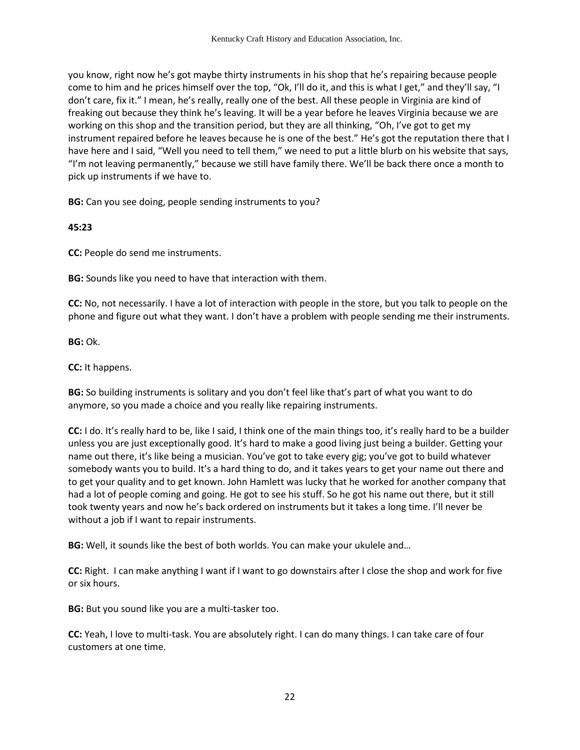you know, right now he's got maybe thirty instruments in his shop that he's repairing because people come to him and he prices himself over the top, "Ok, I'll do it, and this is what I get," and they'll say, "I don't care, fix it." I mean, he's really, really one of the best. All these people in Virginia are kind of freaking out because they think he's leaving. It will be a year before he leaves Virginia because we are working on this shop and the transition period, but they are all thinking, "Oh, I've got to get my instrument repaired before he leaves because he is one of the best." He's got the reputation there that I have here and I said, "Well you need to tell them," we need to put a little blurb on his website that says, "I'm not leaving permanently," because we still have family there. We'll be back there once a month to pick up instruments if we have to.

**BG:** Can you see doing, people sending instruments to you?

## **45:23**

**CC:** People do send me instruments.

**BG:** Sounds like you need to have that interaction with them.

**CC:** No, not necessarily. I have a lot of interaction with people in the store, but you talk to people on the phone and figure out what they want. I don't have a problem with people sending me their instruments.

**BG:** Ok.

**CC:** It happens.

**BG:** So building instruments is solitary and you don't feel like that's part of what you want to do anymore, so you made a choice and you really like repairing instruments.

**CC:** I do. It's really hard to be, like I said, I think one of the main things too, it's really hard to be a builder unless you are just exceptionally good. It's hard to make a good living just being a builder. Getting your name out there, it's like being a musician. You've got to take every gig; you've got to build whatever somebody wants you to build. It's a hard thing to do, and it takes years to get your name out there and to get your quality and to get known. John Hamlett was lucky that he worked for another company that had a lot of people coming and going. He got to see his stuff. So he got his name out there, but it still took twenty years and now he's back ordered on instruments but it takes a long time. I'll never be without a job if I want to repair instruments.

**BG:** Well, it sounds like the best of both worlds. You can make your ukulele and…

**CC:** Right. I can make anything I want if I want to go downstairs after I close the shop and work for five or six hours.

**BG:** But you sound like you are a multi-tasker too.

**CC:** Yeah, I love to multi-task. You are absolutely right. I can do many things. I can take care of four customers at one time.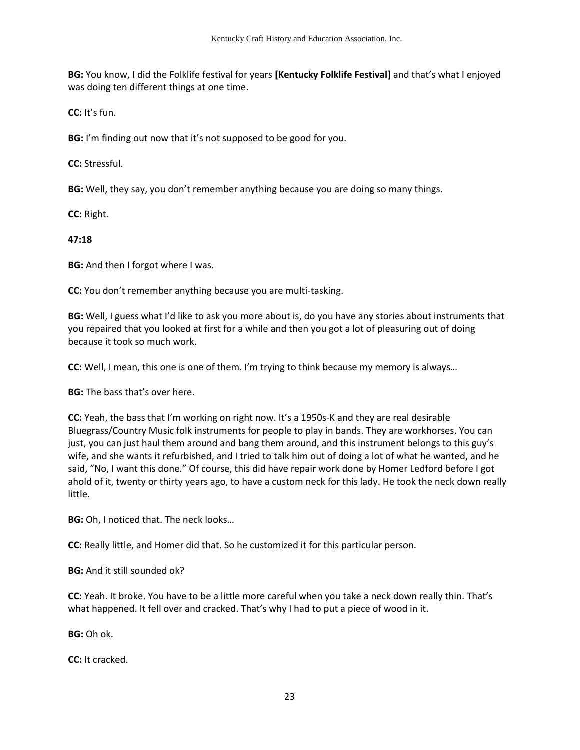**BG:** You know, I did the Folklife festival for years **[Kentucky Folklife Festival]** and that's what I enjoyed was doing ten different things at one time.

**CC:** It's fun.

**BG:** I'm finding out now that it's not supposed to be good for you.

**CC:** Stressful.

**BG:** Well, they say, you don't remember anything because you are doing so many things.

**CC:** Right.

## **47:18**

**BG:** And then I forgot where I was.

**CC:** You don't remember anything because you are multi-tasking.

**BG:** Well, I guess what I'd like to ask you more about is, do you have any stories about instruments that you repaired that you looked at first for a while and then you got a lot of pleasuring out of doing because it took so much work.

**CC:** Well, I mean, this one is one of them. I'm trying to think because my memory is always…

**BG:** The bass that's over here.

**CC:** Yeah, the bass that I'm working on right now. It's a 1950s-K and they are real desirable Bluegrass/Country Music folk instruments for people to play in bands. They are workhorses. You can just, you can just haul them around and bang them around, and this instrument belongs to this guy's wife, and she wants it refurbished, and I tried to talk him out of doing a lot of what he wanted, and he said, "No, I want this done." Of course, this did have repair work done by Homer Ledford before I got ahold of it, twenty or thirty years ago, to have a custom neck for this lady. He took the neck down really little.

**BG:** Oh, I noticed that. The neck looks…

**CC:** Really little, and Homer did that. So he customized it for this particular person.

**BG:** And it still sounded ok?

**CC:** Yeah. It broke. You have to be a little more careful when you take a neck down really thin. That's what happened. It fell over and cracked. That's why I had to put a piece of wood in it.

**BG:** Oh ok.

**CC:** It cracked.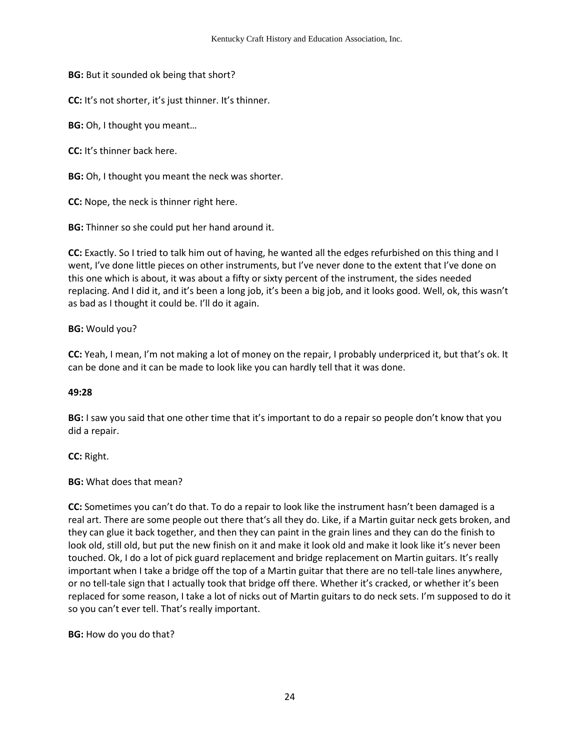**BG:** But it sounded ok being that short?

**CC:** It's not shorter, it's just thinner. It's thinner.

**BG:** Oh, I thought you meant…

**CC:** It's thinner back here.

**BG:** Oh, I thought you meant the neck was shorter.

**CC:** Nope, the neck is thinner right here.

**BG:** Thinner so she could put her hand around it.

**CC:** Exactly. So I tried to talk him out of having, he wanted all the edges refurbished on this thing and I went, I've done little pieces on other instruments, but I've never done to the extent that I've done on this one which is about, it was about a fifty or sixty percent of the instrument, the sides needed replacing. And I did it, and it's been a long job, it's been a big job, and it looks good. Well, ok, this wasn't as bad as I thought it could be. I'll do it again.

## **BG:** Would you?

**CC:** Yeah, I mean, I'm not making a lot of money on the repair, I probably underpriced it, but that's ok. It can be done and it can be made to look like you can hardly tell that it was done.

### **49:28**

**BG:** I saw you said that one other time that it's important to do a repair so people don't know that you did a repair.

**CC:** Right.

**BG:** What does that mean?

**CC:** Sometimes you can't do that. To do a repair to look like the instrument hasn't been damaged is a real art. There are some people out there that's all they do. Like, if a Martin guitar neck gets broken, and they can glue it back together, and then they can paint in the grain lines and they can do the finish to look old, still old, but put the new finish on it and make it look old and make it look like it's never been touched. Ok, I do a lot of pick guard replacement and bridge replacement on Martin guitars. It's really important when I take a bridge off the top of a Martin guitar that there are no tell-tale lines anywhere, or no tell-tale sign that I actually took that bridge off there. Whether it's cracked, or whether it's been replaced for some reason, I take a lot of nicks out of Martin guitars to do neck sets. I'm supposed to do it so you can't ever tell. That's really important.

**BG:** How do you do that?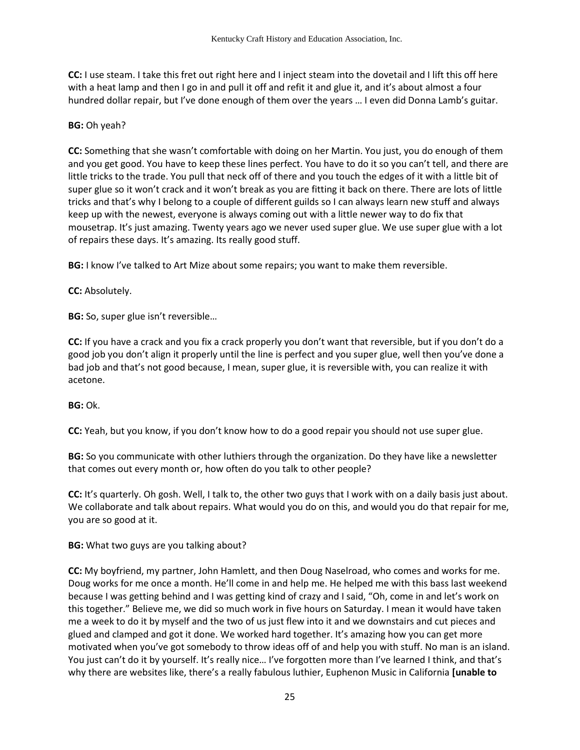**CC:** I use steam. I take this fret out right here and I inject steam into the dovetail and I lift this off here with a heat lamp and then I go in and pull it off and refit it and glue it, and it's about almost a four hundred dollar repair, but I've done enough of them over the years … I even did Donna Lamb's guitar.

### **BG:** Oh yeah?

**CC:** Something that she wasn't comfortable with doing on her Martin. You just, you do enough of them and you get good. You have to keep these lines perfect. You have to do it so you can't tell, and there are little tricks to the trade. You pull that neck off of there and you touch the edges of it with a little bit of super glue so it won't crack and it won't break as you are fitting it back on there. There are lots of little tricks and that's why I belong to a couple of different guilds so I can always learn new stuff and always keep up with the newest, everyone is always coming out with a little newer way to do fix that mousetrap. It's just amazing. Twenty years ago we never used super glue. We use super glue with a lot of repairs these days. It's amazing. Its really good stuff.

**BG:** I know I've talked to Art Mize about some repairs; you want to make them reversible.

**CC:** Absolutely.

**BG:** So, super glue isn't reversible…

**CC:** If you have a crack and you fix a crack properly you don't want that reversible, but if you don't do a good job you don't align it properly until the line is perfect and you super glue, well then you've done a bad job and that's not good because, I mean, super glue, it is reversible with, you can realize it with acetone.

**BG:** Ok.

**CC:** Yeah, but you know, if you don't know how to do a good repair you should not use super glue.

**BG:** So you communicate with other luthiers through the organization. Do they have like a newsletter that comes out every month or, how often do you talk to other people?

**CC:** It's quarterly. Oh gosh. Well, I talk to, the other two guys that I work with on a daily basis just about. We collaborate and talk about repairs. What would you do on this, and would you do that repair for me, you are so good at it.

**BG:** What two guys are you talking about?

**CC:** My boyfriend, my partner, John Hamlett, and then Doug Naselroad, who comes and works for me. Doug works for me once a month. He'll come in and help me. He helped me with this bass last weekend because I was getting behind and I was getting kind of crazy and I said, "Oh, come in and let's work on this together." Believe me, we did so much work in five hours on Saturday. I mean it would have taken me a week to do it by myself and the two of us just flew into it and we downstairs and cut pieces and glued and clamped and got it done. We worked hard together. It's amazing how you can get more motivated when you've got somebody to throw ideas off of and help you with stuff. No man is an island. You just can't do it by yourself. It's really nice… I've forgotten more than I've learned I think, and that's why there are websites like, there's a really fabulous luthier, Euphenon Music in California **[unable to**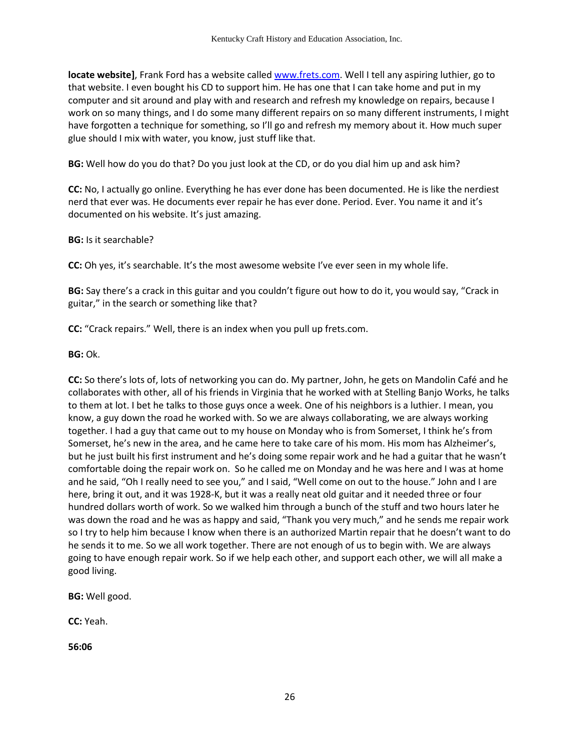**locate website]**, Frank Ford has a website calle[d www.frets.com.](http://www.frets.com/) Well I tell any aspiring luthier, go to that website. I even bought his CD to support him. He has one that I can take home and put in my computer and sit around and play with and research and refresh my knowledge on repairs, because I work on so many things, and I do some many different repairs on so many different instruments, I might have forgotten a technique for something, so I'll go and refresh my memory about it. How much super glue should I mix with water, you know, just stuff like that.

**BG:** Well how do you do that? Do you just look at the CD, or do you dial him up and ask him?

**CC:** No, I actually go online. Everything he has ever done has been documented. He is like the nerdiest nerd that ever was. He documents ever repair he has ever done. Period. Ever. You name it and it's documented on his website. It's just amazing.

### **BG:** Is it searchable?

**CC:** Oh yes, it's searchable. It's the most awesome website I've ever seen in my whole life.

**BG:** Say there's a crack in this guitar and you couldn't figure out how to do it, you would say, "Crack in guitar," in the search or something like that?

**CC:** "Crack repairs." Well, there is an index when you pull up frets.com.

#### **BG:** Ok.

**CC:** So there's lots of, lots of networking you can do. My partner, John, he gets on Mandolin Café and he collaborates with other, all of his friends in Virginia that he worked with at Stelling Banjo Works, he talks to them at lot. I bet he talks to those guys once a week. One of his neighbors is a luthier. I mean, you know, a guy down the road he worked with. So we are always collaborating, we are always working together. I had a guy that came out to my house on Monday who is from Somerset, I think he's from Somerset, he's new in the area, and he came here to take care of his mom. His mom has Alzheimer's, but he just built his first instrument and he's doing some repair work and he had a guitar that he wasn't comfortable doing the repair work on. So he called me on Monday and he was here and I was at home and he said, "Oh I really need to see you," and I said, "Well come on out to the house." John and I are here, bring it out, and it was 1928-K, but it was a really neat old guitar and it needed three or four hundred dollars worth of work. So we walked him through a bunch of the stuff and two hours later he was down the road and he was as happy and said, "Thank you very much," and he sends me repair work so I try to help him because I know when there is an authorized Martin repair that he doesn't want to do he sends it to me. So we all work together. There are not enough of us to begin with. We are always going to have enough repair work. So if we help each other, and support each other, we will all make a good living.

**BG:** Well good.

**CC:** Yeah.

**56:06**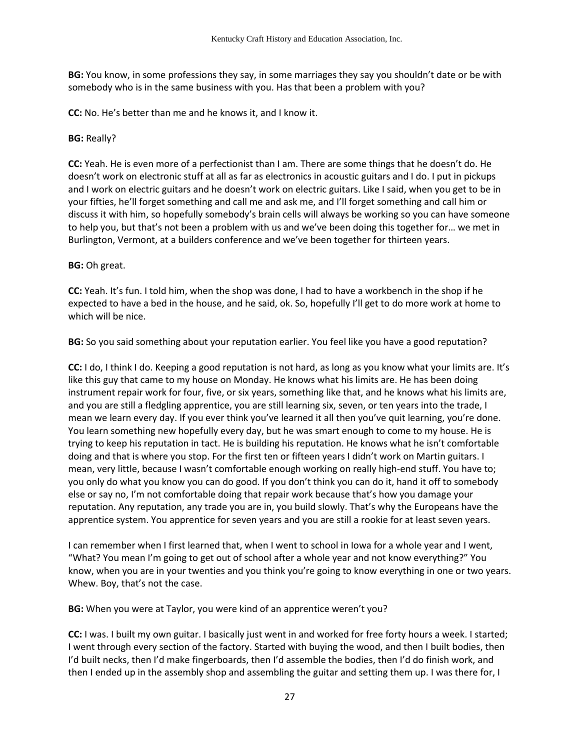**BG:** You know, in some professions they say, in some marriages they say you shouldn't date or be with somebody who is in the same business with you. Has that been a problem with you?

**CC:** No. He's better than me and he knows it, and I know it.

#### **BG:** Really?

**CC:** Yeah. He is even more of a perfectionist than I am. There are some things that he doesn't do. He doesn't work on electronic stuff at all as far as electronics in acoustic guitars and I do. I put in pickups and I work on electric guitars and he doesn't work on electric guitars. Like I said, when you get to be in your fifties, he'll forget something and call me and ask me, and I'll forget something and call him or discuss it with him, so hopefully somebody's brain cells will always be working so you can have someone to help you, but that's not been a problem with us and we've been doing this together for… we met in Burlington, Vermont, at a builders conference and we've been together for thirteen years.

#### **BG:** Oh great.

**CC:** Yeah. It's fun. I told him, when the shop was done, I had to have a workbench in the shop if he expected to have a bed in the house, and he said, ok. So, hopefully I'll get to do more work at home to which will be nice.

**BG:** So you said something about your reputation earlier. You feel like you have a good reputation?

**CC:** I do, I think I do. Keeping a good reputation is not hard, as long as you know what your limits are. It's like this guy that came to my house on Monday. He knows what his limits are. He has been doing instrument repair work for four, five, or six years, something like that, and he knows what his limits are, and you are still a fledgling apprentice, you are still learning six, seven, or ten years into the trade, I mean we learn every day. If you ever think you've learned it all then you've quit learning, you're done. You learn something new hopefully every day, but he was smart enough to come to my house. He is trying to keep his reputation in tact. He is building his reputation. He knows what he isn't comfortable doing and that is where you stop. For the first ten or fifteen years I didn't work on Martin guitars. I mean, very little, because I wasn't comfortable enough working on really high-end stuff. You have to; you only do what you know you can do good. If you don't think you can do it, hand it off to somebody else or say no, I'm not comfortable doing that repair work because that's how you damage your reputation. Any reputation, any trade you are in, you build slowly. That's why the Europeans have the apprentice system. You apprentice for seven years and you are still a rookie for at least seven years.

I can remember when I first learned that, when I went to school in Iowa for a whole year and I went, "What? You mean I'm going to get out of school after a whole year and not know everything?" You know, when you are in your twenties and you think you're going to know everything in one or two years. Whew. Boy, that's not the case.

**BG:** When you were at Taylor, you were kind of an apprentice weren't you?

**CC:** I was. I built my own guitar. I basically just went in and worked for free forty hours a week. I started; I went through every section of the factory. Started with buying the wood, and then I built bodies, then I'd built necks, then I'd make fingerboards, then I'd assemble the bodies, then I'd do finish work, and then I ended up in the assembly shop and assembling the guitar and setting them up. I was there for, I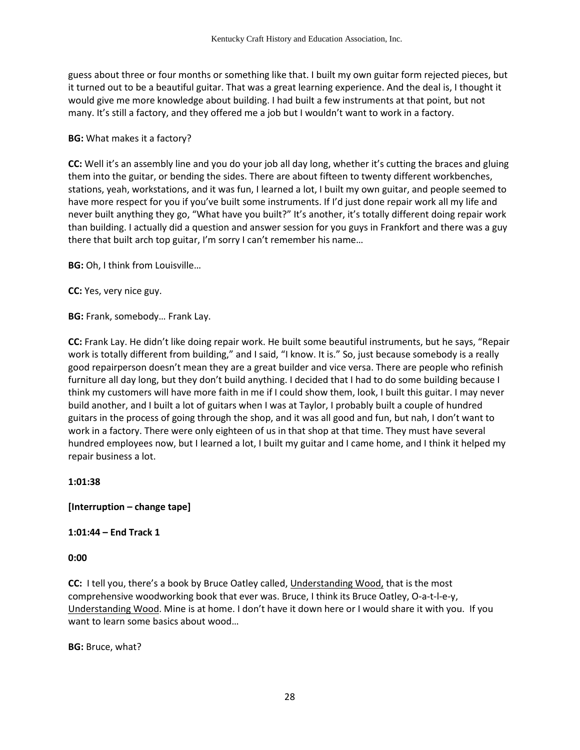guess about three or four months or something like that. I built my own guitar form rejected pieces, but it turned out to be a beautiful guitar. That was a great learning experience. And the deal is, I thought it would give me more knowledge about building. I had built a few instruments at that point, but not many. It's still a factory, and they offered me a job but I wouldn't want to work in a factory.

## **BG:** What makes it a factory?

**CC:** Well it's an assembly line and you do your job all day long, whether it's cutting the braces and gluing them into the guitar, or bending the sides. There are about fifteen to twenty different workbenches, stations, yeah, workstations, and it was fun, I learned a lot, I built my own guitar, and people seemed to have more respect for you if you've built some instruments. If I'd just done repair work all my life and never built anything they go, "What have you built?" It's another, it's totally different doing repair work than building. I actually did a question and answer session for you guys in Frankfort and there was a guy there that built arch top guitar, I'm sorry I can't remember his name…

**BG:** Oh, I think from Louisville…

**CC:** Yes, very nice guy.

**BG:** Frank, somebody… Frank Lay.

**CC:** Frank Lay. He didn't like doing repair work. He built some beautiful instruments, but he says, "Repair work is totally different from building," and I said, "I know. It is." So, just because somebody is a really good repairperson doesn't mean they are a great builder and vice versa. There are people who refinish furniture all day long, but they don't build anything. I decided that I had to do some building because I think my customers will have more faith in me if I could show them, look, I built this guitar. I may never build another, and I built a lot of guitars when I was at Taylor, I probably built a couple of hundred guitars in the process of going through the shop, and it was all good and fun, but nah, I don't want to work in a factory. There were only eighteen of us in that shop at that time. They must have several hundred employees now, but I learned a lot, I built my guitar and I came home, and I think it helped my repair business a lot.

### **1:01:38**

**[Interruption – change tape]** 

**1:01:44 – End Track 1** 

#### **0:00**

**CC:** I tell you, there's a book by Bruce Oatley called, Understanding Wood, that is the most comprehensive woodworking book that ever was. Bruce, I think its Bruce Oatley, O-a-t-l-e-y, Understanding Wood. Mine is at home. I don't have it down here or I would share it with you. If you want to learn some basics about wood…

**BG:** Bruce, what?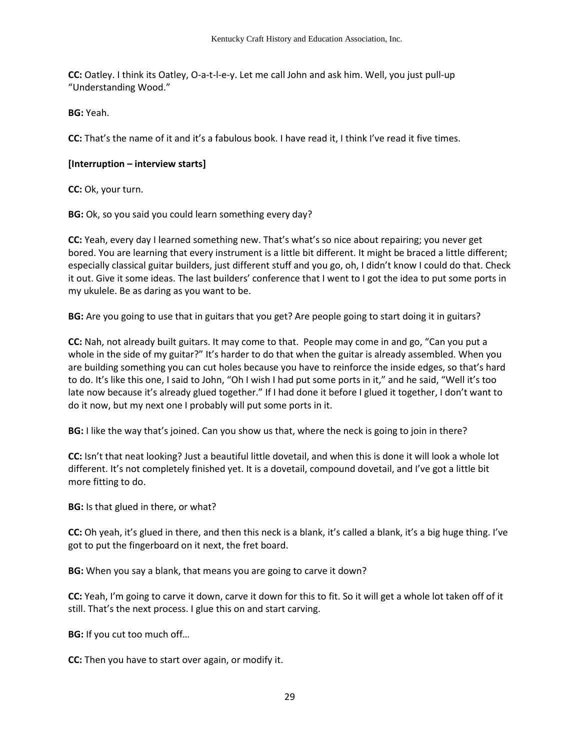**CC:** Oatley. I think its Oatley, O-a-t-l-e-y. Let me call John and ask him. Well, you just pull-up "Understanding Wood."

**BG:** Yeah.

**CC:** That's the name of it and it's a fabulous book. I have read it, I think I've read it five times.

### **[Interruption – interview starts]**

**CC:** Ok, your turn.

**BG:** Ok, so you said you could learn something every day?

**CC:** Yeah, every day I learned something new. That's what's so nice about repairing; you never get bored. You are learning that every instrument is a little bit different. It might be braced a little different; especially classical guitar builders, just different stuff and you go, oh, I didn't know I could do that. Check it out. Give it some ideas. The last builders' conference that I went to I got the idea to put some ports in my ukulele. Be as daring as you want to be.

**BG:** Are you going to use that in guitars that you get? Are people going to start doing it in guitars?

**CC:** Nah, not already built guitars. It may come to that. People may come in and go, "Can you put a whole in the side of my guitar?" It's harder to do that when the guitar is already assembled. When you are building something you can cut holes because you have to reinforce the inside edges, so that's hard to do. It's like this one, I said to John, "Oh I wish I had put some ports in it," and he said, "Well it's too late now because it's already glued together." If I had done it before I glued it together, I don't want to do it now, but my next one I probably will put some ports in it.

**BG:** I like the way that's joined. Can you show us that, where the neck is going to join in there?

**CC:** Isn't that neat looking? Just a beautiful little dovetail, and when this is done it will look a whole lot different. It's not completely finished yet. It is a dovetail, compound dovetail, and I've got a little bit more fitting to do.

**BG:** Is that glued in there, or what?

**CC:** Oh yeah, it's glued in there, and then this neck is a blank, it's called a blank, it's a big huge thing. I've got to put the fingerboard on it next, the fret board.

**BG:** When you say a blank, that means you are going to carve it down?

**CC:** Yeah, I'm going to carve it down, carve it down for this to fit. So it will get a whole lot taken off of it still. That's the next process. I glue this on and start carving.

**BG:** If you cut too much off…

**CC:** Then you have to start over again, or modify it.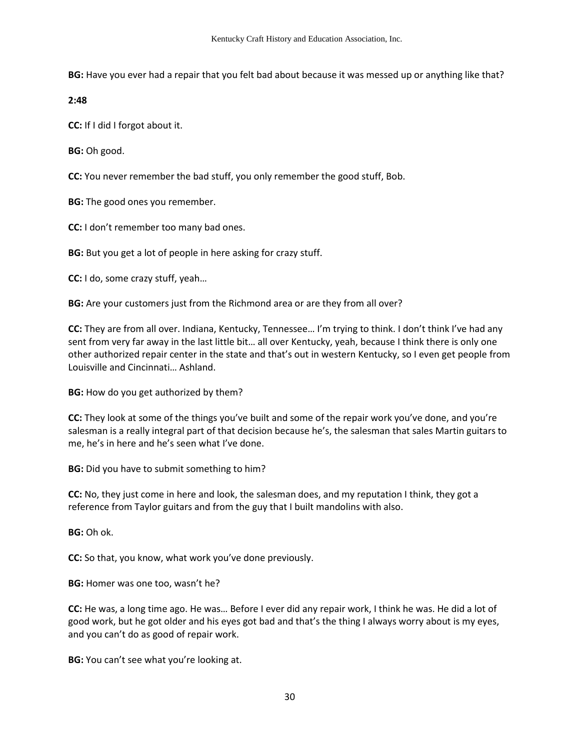**BG:** Have you ever had a repair that you felt bad about because it was messed up or anything like that?

**2:48** 

**CC:** If I did I forgot about it.

**BG:** Oh good.

**CC:** You never remember the bad stuff, you only remember the good stuff, Bob.

**BG:** The good ones you remember.

**CC:** I don't remember too many bad ones.

**BG:** But you get a lot of people in here asking for crazy stuff.

**CC:** I do, some crazy stuff, yeah…

**BG:** Are your customers just from the Richmond area or are they from all over?

**CC:** They are from all over. Indiana, Kentucky, Tennessee… I'm trying to think. I don't think I've had any sent from very far away in the last little bit… all over Kentucky, yeah, because I think there is only one other authorized repair center in the state and that's out in western Kentucky, so I even get people from Louisville and Cincinnati… Ashland.

**BG:** How do you get authorized by them?

**CC:** They look at some of the things you've built and some of the repair work you've done, and you're salesman is a really integral part of that decision because he's, the salesman that sales Martin guitars to me, he's in here and he's seen what I've done.

**BG:** Did you have to submit something to him?

**CC:** No, they just come in here and look, the salesman does, and my reputation I think, they got a reference from Taylor guitars and from the guy that I built mandolins with also.

**BG:** Oh ok.

**CC:** So that, you know, what work you've done previously.

**BG:** Homer was one too, wasn't he?

**CC:** He was, a long time ago. He was… Before I ever did any repair work, I think he was. He did a lot of good work, but he got older and his eyes got bad and that's the thing I always worry about is my eyes, and you can't do as good of repair work.

**BG:** You can't see what you're looking at.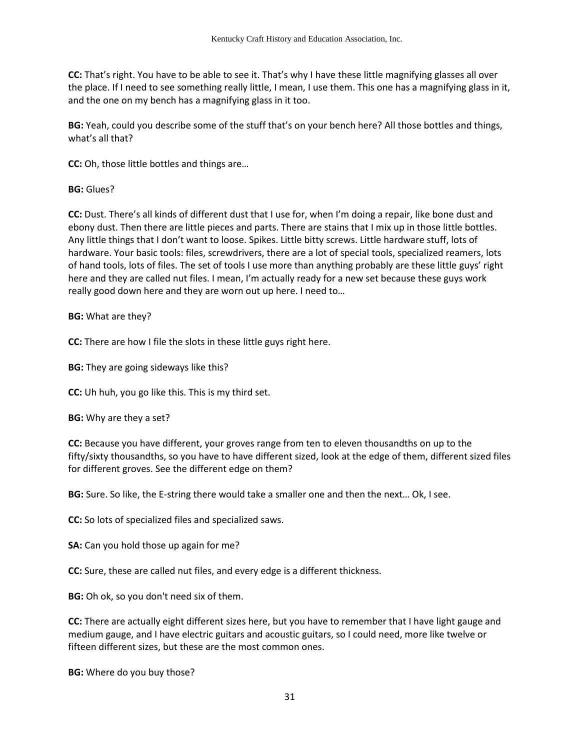**CC:** That's right. You have to be able to see it. That's why I have these little magnifying glasses all over the place. If I need to see something really little, I mean, I use them. This one has a magnifying glass in it, and the one on my bench has a magnifying glass in it too.

**BG:** Yeah, could you describe some of the stuff that's on your bench here? All those bottles and things, what's all that?

**CC:** Oh, those little bottles and things are…

**BG:** Glues?

**CC:** Dust. There's all kinds of different dust that I use for, when I'm doing a repair, like bone dust and ebony dust. Then there are little pieces and parts. There are stains that I mix up in those little bottles. Any little things that I don't want to loose. Spikes. Little bitty screws. Little hardware stuff, lots of hardware. Your basic tools: files, screwdrivers, there are a lot of special tools, specialized reamers, lots of hand tools, lots of files. The set of tools I use more than anything probably are these little guys' right here and they are called nut files. I mean, I'm actually ready for a new set because these guys work really good down here and they are worn out up here. I need to…

**BG:** What are they?

**CC:** There are how I file the slots in these little guys right here.

**BG:** They are going sideways like this?

**CC:** Uh huh, you go like this. This is my third set.

**BG:** Why are they a set?

**CC:** Because you have different, your groves range from ten to eleven thousandths on up to the fifty/sixty thousandths, so you have to have different sized, look at the edge of them, different sized files for different groves. See the different edge on them?

**BG:** Sure. So like, the E-string there would take a smaller one and then the next… Ok, I see.

**CC:** So lots of specialized files and specialized saws.

**SA:** Can you hold those up again for me?

**CC:** Sure, these are called nut files, and every edge is a different thickness.

**BG:** Oh ok, so you don't need six of them.

**CC:** There are actually eight different sizes here, but you have to remember that I have light gauge and medium gauge, and I have electric guitars and acoustic guitars, so I could need, more like twelve or fifteen different sizes, but these are the most common ones.

**BG:** Where do you buy those?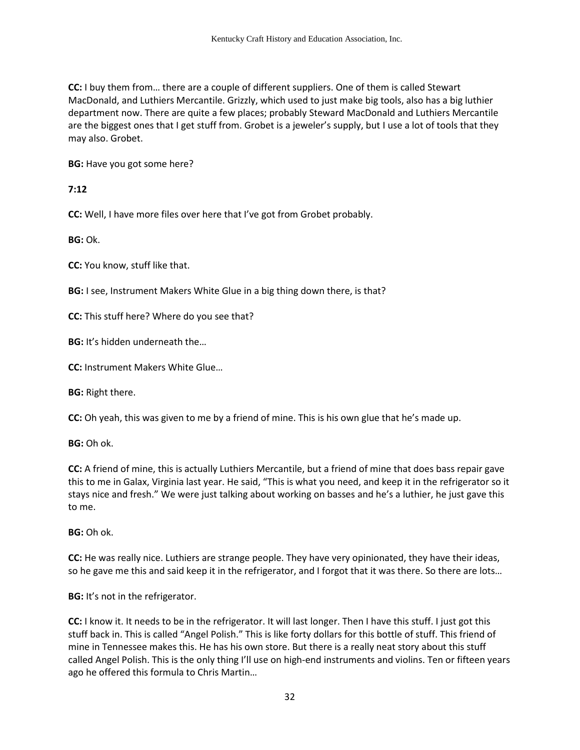**CC:** I buy them from… there are a couple of different suppliers. One of them is called Stewart MacDonald, and Luthiers Mercantile. Grizzly, which used to just make big tools, also has a big luthier department now. There are quite a few places; probably Steward MacDonald and Luthiers Mercantile are the biggest ones that I get stuff from. Grobet is a jeweler's supply, but I use a lot of tools that they may also. Grobet.

**BG:** Have you got some here?

## **7:12**

**CC:** Well, I have more files over here that I've got from Grobet probably.

**BG:** Ok.

**CC:** You know, stuff like that.

**BG:** I see, Instrument Makers White Glue in a big thing down there, is that?

**CC:** This stuff here? Where do you see that?

**BG:** It's hidden underneath the…

**CC:** Instrument Makers White Glue…

**BG:** Right there.

**CC:** Oh yeah, this was given to me by a friend of mine. This is his own glue that he's made up.

**BG:** Oh ok.

**CC:** A friend of mine, this is actually Luthiers Mercantile, but a friend of mine that does bass repair gave this to me in Galax, Virginia last year. He said, "This is what you need, and keep it in the refrigerator so it stays nice and fresh." We were just talking about working on basses and he's a luthier, he just gave this to me.

**BG:** Oh ok.

**CC:** He was really nice. Luthiers are strange people. They have very opinionated, they have their ideas, so he gave me this and said keep it in the refrigerator, and I forgot that it was there. So there are lots…

**BG:** It's not in the refrigerator.

**CC:** I know it. It needs to be in the refrigerator. It will last longer. Then I have this stuff. I just got this stuff back in. This is called "Angel Polish." This is like forty dollars for this bottle of stuff. This friend of mine in Tennessee makes this. He has his own store. But there is a really neat story about this stuff called Angel Polish. This is the only thing I'll use on high-end instruments and violins. Ten or fifteen years ago he offered this formula to Chris Martin…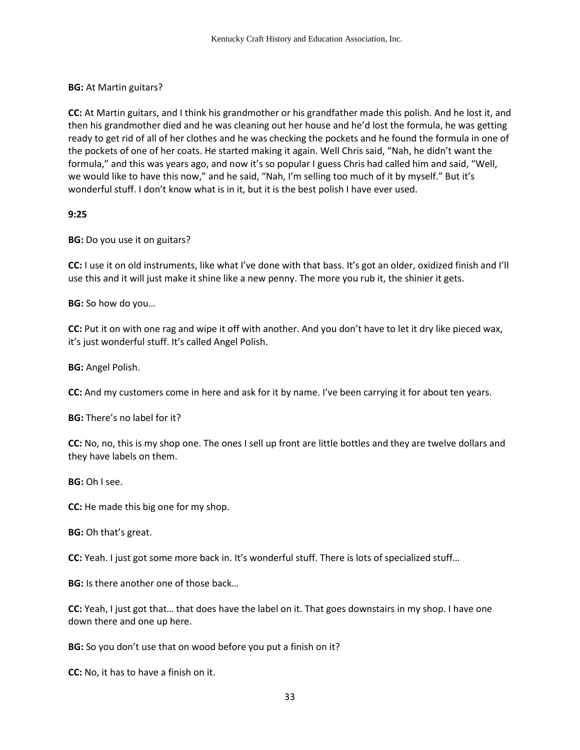### **BG:** At Martin guitars?

**CC:** At Martin guitars, and I think his grandmother or his grandfather made this polish. And he lost it, and then his grandmother died and he was cleaning out her house and he'd lost the formula, he was getting ready to get rid of all of her clothes and he was checking the pockets and he found the formula in one of the pockets of one of her coats. He started making it again. Well Chris said, "Nah, he didn't want the formula," and this was years ago, and now it's so popular I guess Chris had called him and said, "Well, we would like to have this now," and he said, "Nah, I'm selling too much of it by myself." But it's wonderful stuff. I don't know what is in it, but it is the best polish I have ever used.

### **9:25**

**BG:** Do you use it on guitars?

**CC:** I use it on old instruments, like what I've done with that bass. It's got an older, oxidized finish and I'll use this and it will just make it shine like a new penny. The more you rub it, the shinier it gets.

**BG:** So how do you…

**CC:** Put it on with one rag and wipe it off with another. And you don't have to let it dry like pieced wax, it's just wonderful stuff. It's called Angel Polish.

**BG:** Angel Polish.

**CC:** And my customers come in here and ask for it by name. I've been carrying it for about ten years.

**BG:** There's no label for it?

**CC:** No, no, this is my shop one. The ones I sell up front are little bottles and they are twelve dollars and they have labels on them.

**BG:** Oh I see.

**CC:** He made this big one for my shop.

**BG:** Oh that's great.

**CC:** Yeah. I just got some more back in. It's wonderful stuff. There is lots of specialized stuff…

**BG:** Is there another one of those back…

**CC:** Yeah, I just got that… that does have the label on it. That goes downstairs in my shop. I have one down there and one up here.

**BG:** So you don't use that on wood before you put a finish on it?

**CC:** No, it has to have a finish on it.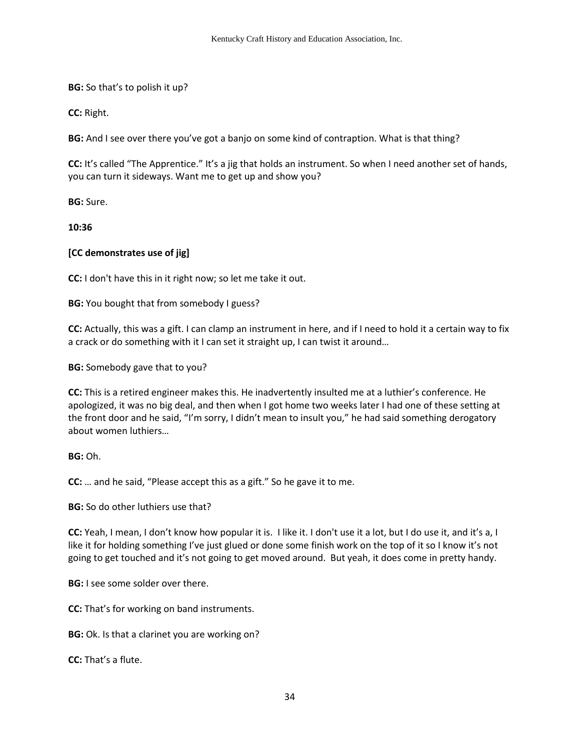**BG:** So that's to polish it up?

**CC:** Right.

**BG:** And I see over there you've got a banjo on some kind of contraption. What is that thing?

**CC:** It's called "The Apprentice." It's a jig that holds an instrument. So when I need another set of hands, you can turn it sideways. Want me to get up and show you?

**BG:** Sure.

**10:36** 

# **[CC demonstrates use of jig]**

**CC:** I don't have this in it right now; so let me take it out.

**BG:** You bought that from somebody I guess?

**CC:** Actually, this was a gift. I can clamp an instrument in here, and if I need to hold it a certain way to fix a crack or do something with it I can set it straight up, I can twist it around…

**BG:** Somebody gave that to you?

**CC:** This is a retired engineer makes this. He inadvertently insulted me at a luthier's conference. He apologized, it was no big deal, and then when I got home two weeks later I had one of these setting at the front door and he said, "I'm sorry, I didn't mean to insult you," he had said something derogatory about women luthiers…

**BG:** Oh.

**CC:** … and he said, "Please accept this as a gift." So he gave it to me.

**BG:** So do other luthiers use that?

**CC:** Yeah, I mean, I don't know how popular it is. I like it. I don't use it a lot, but I do use it, and it's a, I like it for holding something I've just glued or done some finish work on the top of it so I know it's not going to get touched and it's not going to get moved around. But yeah, it does come in pretty handy.

**BG:** I see some solder over there.

**CC:** That's for working on band instruments.

**BG:** Ok. Is that a clarinet you are working on?

**CC:** That's a flute.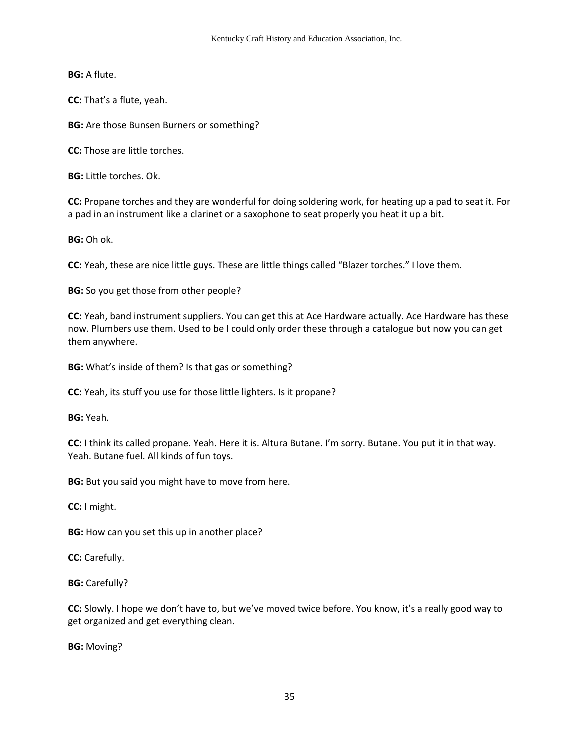**BG:** A flute.

**CC:** That's a flute, yeah.

**BG:** Are those Bunsen Burners or something?

**CC:** Those are little torches.

**BG:** Little torches. Ok.

**CC:** Propane torches and they are wonderful for doing soldering work, for heating up a pad to seat it. For a pad in an instrument like a clarinet or a saxophone to seat properly you heat it up a bit.

**BG:** Oh ok.

**CC:** Yeah, these are nice little guys. These are little things called "Blazer torches." I love them.

**BG:** So you get those from other people?

**CC:** Yeah, band instrument suppliers. You can get this at Ace Hardware actually. Ace Hardware has these now. Plumbers use them. Used to be I could only order these through a catalogue but now you can get them anywhere.

**BG:** What's inside of them? Is that gas or something?

**CC:** Yeah, its stuff you use for those little lighters. Is it propane?

**BG:** Yeah.

**CC:** I think its called propane. Yeah. Here it is. Altura Butane. I'm sorry. Butane. You put it in that way. Yeah. Butane fuel. All kinds of fun toys.

**BG:** But you said you might have to move from here.

**CC:** I might.

**BG:** How can you set this up in another place?

**CC:** Carefully.

**BG:** Carefully?

**CC:** Slowly. I hope we don't have to, but we've moved twice before. You know, it's a really good way to get organized and get everything clean.

**BG:** Moving?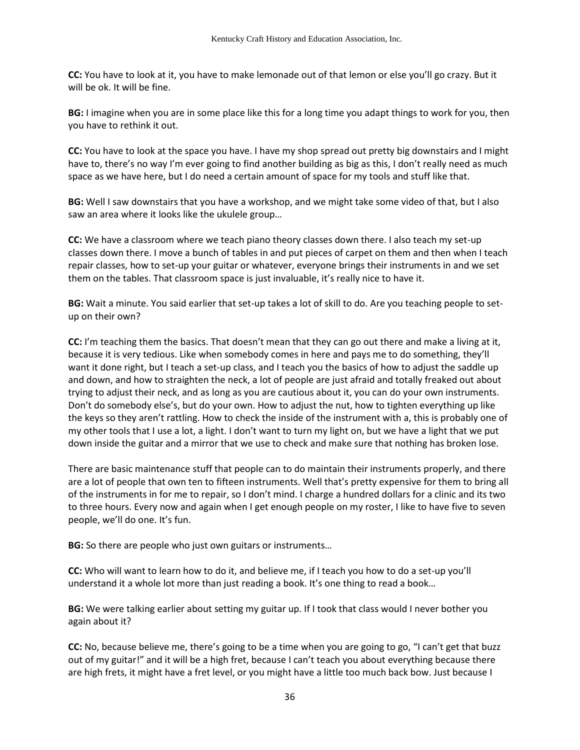**CC:** You have to look at it, you have to make lemonade out of that lemon or else you'll go crazy. But it will be ok. It will be fine.

**BG:** I imagine when you are in some place like this for a long time you adapt things to work for you, then you have to rethink it out.

**CC:** You have to look at the space you have. I have my shop spread out pretty big downstairs and I might have to, there's no way I'm ever going to find another building as big as this, I don't really need as much space as we have here, but I do need a certain amount of space for my tools and stuff like that.

**BG:** Well I saw downstairs that you have a workshop, and we might take some video of that, but I also saw an area where it looks like the ukulele group…

**CC:** We have a classroom where we teach piano theory classes down there. I also teach my set-up classes down there. I move a bunch of tables in and put pieces of carpet on them and then when I teach repair classes, how to set-up your guitar or whatever, everyone brings their instruments in and we set them on the tables. That classroom space is just invaluable, it's really nice to have it.

**BG:** Wait a minute. You said earlier that set-up takes a lot of skill to do. Are you teaching people to setup on their own?

**CC:** I'm teaching them the basics. That doesn't mean that they can go out there and make a living at it, because it is very tedious. Like when somebody comes in here and pays me to do something, they'll want it done right, but I teach a set-up class, and I teach you the basics of how to adjust the saddle up and down, and how to straighten the neck, a lot of people are just afraid and totally freaked out about trying to adjust their neck, and as long as you are cautious about it, you can do your own instruments. Don't do somebody else's, but do your own. How to adjust the nut, how to tighten everything up like the keys so they aren't rattling. How to check the inside of the instrument with a, this is probably one of my other tools that I use a lot, a light. I don't want to turn my light on, but we have a light that we put down inside the guitar and a mirror that we use to check and make sure that nothing has broken lose.

There are basic maintenance stuff that people can to do maintain their instruments properly, and there are a lot of people that own ten to fifteen instruments. Well that's pretty expensive for them to bring all of the instruments in for me to repair, so I don't mind. I charge a hundred dollars for a clinic and its two to three hours. Every now and again when I get enough people on my roster, I like to have five to seven people, we'll do one. It's fun.

**BG:** So there are people who just own guitars or instruments…

**CC:** Who will want to learn how to do it, and believe me, if I teach you how to do a set-up you'll understand it a whole lot more than just reading a book. It's one thing to read a book…

**BG:** We were talking earlier about setting my guitar up. If I took that class would I never bother you again about it?

**CC:** No, because believe me, there's going to be a time when you are going to go, "I can't get that buzz out of my guitar!" and it will be a high fret, because I can't teach you about everything because there are high frets, it might have a fret level, or you might have a little too much back bow. Just because I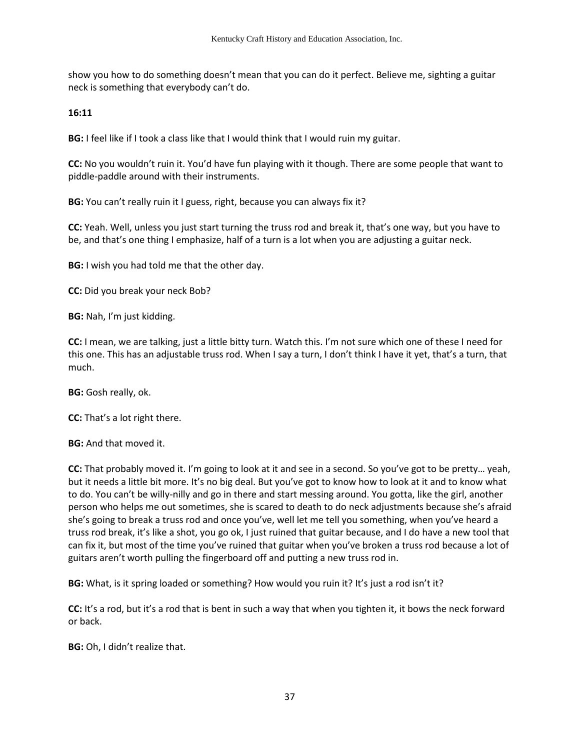show you how to do something doesn't mean that you can do it perfect. Believe me, sighting a guitar neck is something that everybody can't do.

**16:11**

**BG:** I feel like if I took a class like that I would think that I would ruin my guitar.

**CC:** No you wouldn't ruin it. You'd have fun playing with it though. There are some people that want to piddle-paddle around with their instruments.

**BG:** You can't really ruin it I guess, right, because you can always fix it?

**CC:** Yeah. Well, unless you just start turning the truss rod and break it, that's one way, but you have to be, and that's one thing I emphasize, half of a turn is a lot when you are adjusting a guitar neck.

**BG:** I wish you had told me that the other day.

**CC:** Did you break your neck Bob?

**BG:** Nah, I'm just kidding.

**CC:** I mean, we are talking, just a little bitty turn. Watch this. I'm not sure which one of these I need for this one. This has an adjustable truss rod. When I say a turn, I don't think I have it yet, that's a turn, that much.

**BG:** Gosh really, ok.

**CC:** That's a lot right there.

**BG:** And that moved it.

**CC:** That probably moved it. I'm going to look at it and see in a second. So you've got to be pretty… yeah, but it needs a little bit more. It's no big deal. But you've got to know how to look at it and to know what to do. You can't be willy-nilly and go in there and start messing around. You gotta, like the girl, another person who helps me out sometimes, she is scared to death to do neck adjustments because she's afraid she's going to break a truss rod and once you've, well let me tell you something, when you've heard a truss rod break, it's like a shot, you go ok, I just ruined that guitar because, and I do have a new tool that can fix it, but most of the time you've ruined that guitar when you've broken a truss rod because a lot of guitars aren't worth pulling the fingerboard off and putting a new truss rod in.

**BG:** What, is it spring loaded or something? How would you ruin it? It's just a rod isn't it?

**CC:** It's a rod, but it's a rod that is bent in such a way that when you tighten it, it bows the neck forward or back.

**BG:** Oh, I didn't realize that.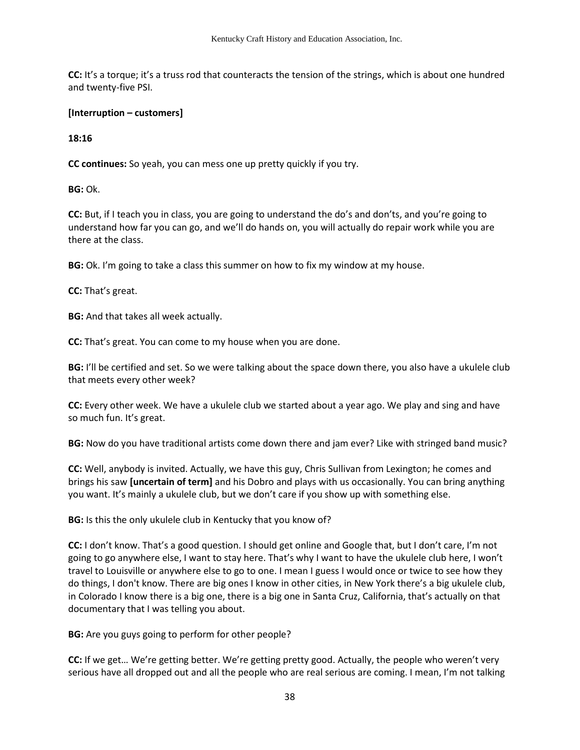**CC:** It's a torque; it's a truss rod that counteracts the tension of the strings, which is about one hundred and twenty-five PSI.

#### **[Interruption – customers]**

**18:16** 

**CC continues:** So yeah, you can mess one up pretty quickly if you try.

**BG:** Ok.

**CC:** But, if I teach you in class, you are going to understand the do's and don'ts, and you're going to understand how far you can go, and we'll do hands on, you will actually do repair work while you are there at the class.

**BG:** Ok. I'm going to take a class this summer on how to fix my window at my house.

**CC:** That's great.

**BG:** And that takes all week actually.

**CC:** That's great. You can come to my house when you are done.

**BG:** I'll be certified and set. So we were talking about the space down there, you also have a ukulele club that meets every other week?

**CC:** Every other week. We have a ukulele club we started about a year ago. We play and sing and have so much fun. It's great.

**BG:** Now do you have traditional artists come down there and jam ever? Like with stringed band music?

**CC:** Well, anybody is invited. Actually, we have this guy, Chris Sullivan from Lexington; he comes and brings his saw **[uncertain of term]** and his Dobro and plays with us occasionally. You can bring anything you want. It's mainly a ukulele club, but we don't care if you show up with something else.

**BG:** Is this the only ukulele club in Kentucky that you know of?

**CC:** I don't know. That's a good question. I should get online and Google that, but I don't care, I'm not going to go anywhere else, I want to stay here. That's why I want to have the ukulele club here, I won't travel to Louisville or anywhere else to go to one. I mean I guess I would once or twice to see how they do things, I don't know. There are big ones I know in other cities, in New York there's a big ukulele club, in Colorado I know there is a big one, there is a big one in Santa Cruz, California, that's actually on that documentary that I was telling you about.

**BG:** Are you guys going to perform for other people?

**CC:** If we get… We're getting better. We're getting pretty good. Actually, the people who weren't very serious have all dropped out and all the people who are real serious are coming. I mean, I'm not talking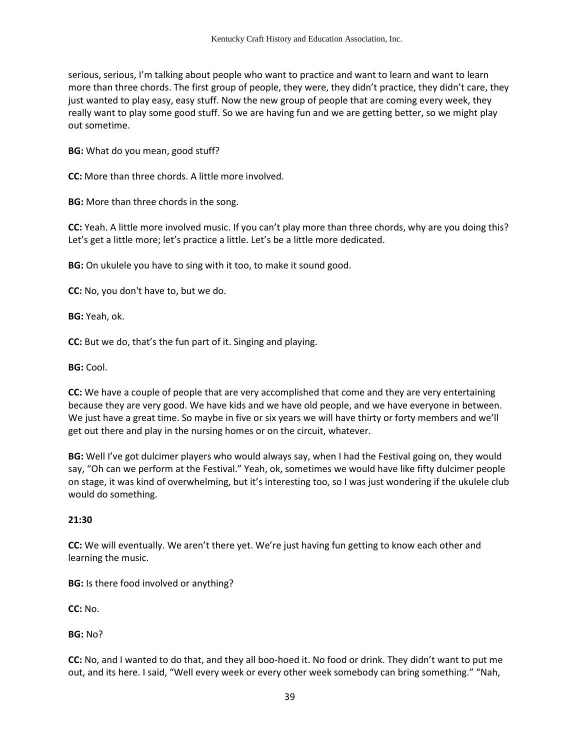serious, serious, I'm talking about people who want to practice and want to learn and want to learn more than three chords. The first group of people, they were, they didn't practice, they didn't care, they just wanted to play easy, easy stuff. Now the new group of people that are coming every week, they really want to play some good stuff. So we are having fun and we are getting better, so we might play out sometime.

**BG:** What do you mean, good stuff?

**CC:** More than three chords. A little more involved.

**BG:** More than three chords in the song.

**CC:** Yeah. A little more involved music. If you can't play more than three chords, why are you doing this? Let's get a little more; let's practice a little. Let's be a little more dedicated.

**BG:** On ukulele you have to sing with it too, to make it sound good.

**CC:** No, you don't have to, but we do.

**BG:** Yeah, ok.

**CC:** But we do, that's the fun part of it. Singing and playing.

**BG:** Cool.

**CC:** We have a couple of people that are very accomplished that come and they are very entertaining because they are very good. We have kids and we have old people, and we have everyone in between. We just have a great time. So maybe in five or six years we will have thirty or forty members and we'll get out there and play in the nursing homes or on the circuit, whatever.

**BG:** Well I've got dulcimer players who would always say, when I had the Festival going on, they would say, "Oh can we perform at the Festival." Yeah, ok, sometimes we would have like fifty dulcimer people on stage, it was kind of overwhelming, but it's interesting too, so I was just wondering if the ukulele club would do something.

### **21:30**

**CC:** We will eventually. We aren't there yet. We're just having fun getting to know each other and learning the music.

**BG:** Is there food involved or anything?

**CC:** No.

**BG:** No?

**CC:** No, and I wanted to do that, and they all boo-hoed it. No food or drink. They didn't want to put me out, and its here. I said, "Well every week or every other week somebody can bring something." "Nah,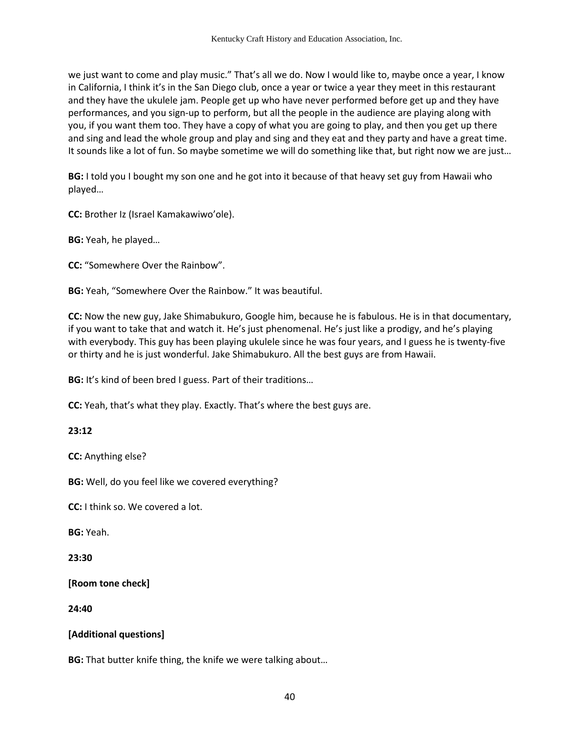we just want to come and play music." That's all we do. Now I would like to, maybe once a year, I know in California, I think it's in the San Diego club, once a year or twice a year they meet in this restaurant and they have the ukulele jam. People get up who have never performed before get up and they have performances, and you sign-up to perform, but all the people in the audience are playing along with you, if you want them too. They have a copy of what you are going to play, and then you get up there and sing and lead the whole group and play and sing and they eat and they party and have a great time. It sounds like a lot of fun. So maybe sometime we will do something like that, but right now we are just…

**BG:** I told you I bought my son one and he got into it because of that heavy set guy from Hawaii who played…

**CC:** Brother Iz (Israel Kamakawiwo'ole).

**BG:** Yeah, he played…

**CC:** "Somewhere Over the Rainbow".

**BG:** Yeah, "Somewhere Over the Rainbow." It was beautiful.

**CC:** Now the new guy, Jake Shimabukuro, Google him, because he is fabulous. He is in that documentary, if you want to take that and watch it. He's just phenomenal. He's just like a prodigy, and he's playing with everybody. This guy has been playing ukulele since he was four years, and I guess he is twenty-five or thirty and he is just wonderful. Jake Shimabukuro. All the best guys are from Hawaii.

**BG:** It's kind of been bred I guess. Part of their traditions…

**CC:** Yeah, that's what they play. Exactly. That's where the best guys are.

# **23:12**

**CC:** Anything else?

**BG:** Well, do you feel like we covered everything?

**CC:** I think so. We covered a lot.

**BG:** Yeah.

**23:30** 

**[Room tone check]** 

**24:40** 

# **[Additional questions]**

**BG:** That butter knife thing, the knife we were talking about…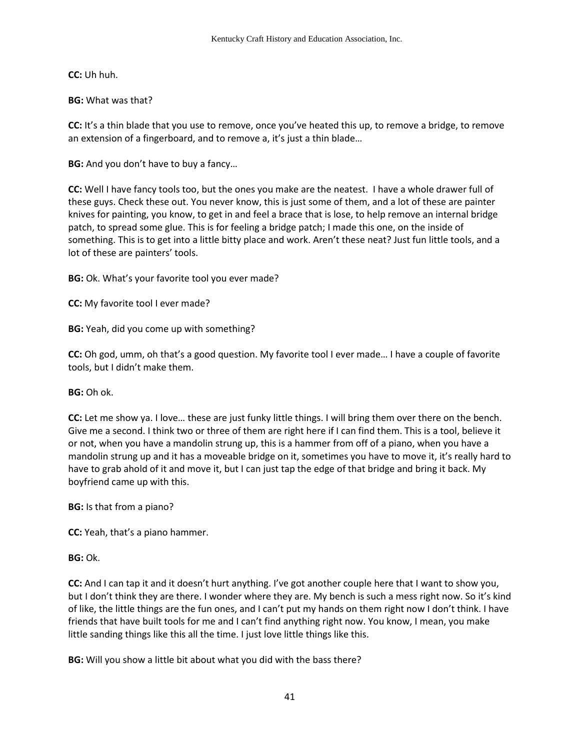**CC:** Uh huh.

**BG:** What was that?

**CC:** It's a thin blade that you use to remove, once you've heated this up, to remove a bridge, to remove an extension of a fingerboard, and to remove a, it's just a thin blade…

**BG:** And you don't have to buy a fancy…

**CC:** Well I have fancy tools too, but the ones you make are the neatest. I have a whole drawer full of these guys. Check these out. You never know, this is just some of them, and a lot of these are painter knives for painting, you know, to get in and feel a brace that is lose, to help remove an internal bridge patch, to spread some glue. This is for feeling a bridge patch; I made this one, on the inside of something. This is to get into a little bitty place and work. Aren't these neat? Just fun little tools, and a lot of these are painters' tools.

**BG:** Ok. What's your favorite tool you ever made?

**CC:** My favorite tool I ever made?

**BG:** Yeah, did you come up with something?

**CC:** Oh god, umm, oh that's a good question. My favorite tool I ever made… I have a couple of favorite tools, but I didn't make them.

**BG:** Oh ok.

**CC:** Let me show ya. I love… these are just funky little things. I will bring them over there on the bench. Give me a second. I think two or three of them are right here if I can find them. This is a tool, believe it or not, when you have a mandolin strung up, this is a hammer from off of a piano, when you have a mandolin strung up and it has a moveable bridge on it, sometimes you have to move it, it's really hard to have to grab ahold of it and move it, but I can just tap the edge of that bridge and bring it back. My boyfriend came up with this.

**BG:** Is that from a piano?

**CC:** Yeah, that's a piano hammer.

**BG:** Ok.

**CC:** And I can tap it and it doesn't hurt anything. I've got another couple here that I want to show you, but I don't think they are there. I wonder where they are. My bench is such a mess right now. So it's kind of like, the little things are the fun ones, and I can't put my hands on them right now I don't think. I have friends that have built tools for me and I can't find anything right now. You know, I mean, you make little sanding things like this all the time. I just love little things like this.

**BG:** Will you show a little bit about what you did with the bass there?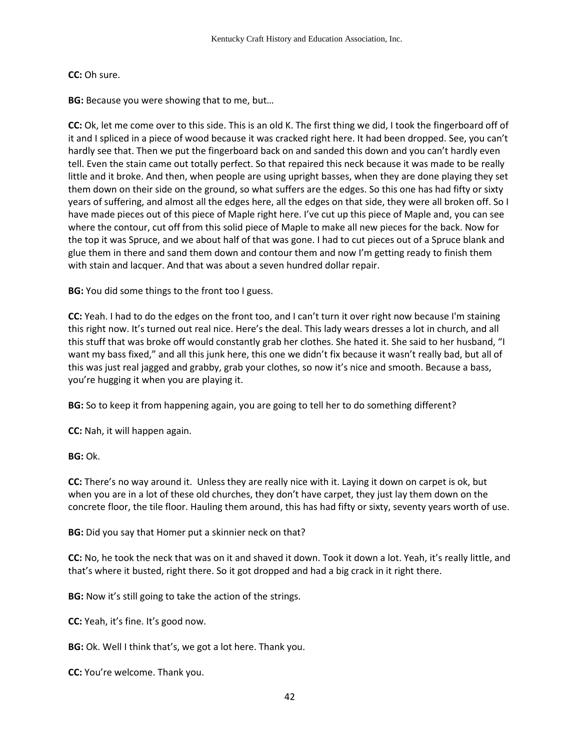### **CC:** Oh sure.

**BG:** Because you were showing that to me, but…

**CC:** Ok, let me come over to this side. This is an old K. The first thing we did, I took the fingerboard off of it and I spliced in a piece of wood because it was cracked right here. It had been dropped. See, you can't hardly see that. Then we put the fingerboard back on and sanded this down and you can't hardly even tell. Even the stain came out totally perfect. So that repaired this neck because it was made to be really little and it broke. And then, when people are using upright basses, when they are done playing they set them down on their side on the ground, so what suffers are the edges. So this one has had fifty or sixty years of suffering, and almost all the edges here, all the edges on that side, they were all broken off. So I have made pieces out of this piece of Maple right here. I've cut up this piece of Maple and, you can see where the contour, cut off from this solid piece of Maple to make all new pieces for the back. Now for the top it was Spruce, and we about half of that was gone. I had to cut pieces out of a Spruce blank and glue them in there and sand them down and contour them and now I'm getting ready to finish them with stain and lacquer. And that was about a seven hundred dollar repair.

**BG:** You did some things to the front too I guess.

**CC:** Yeah. I had to do the edges on the front too, and I can't turn it over right now because I'm staining this right now. It's turned out real nice. Here's the deal. This lady wears dresses a lot in church, and all this stuff that was broke off would constantly grab her clothes. She hated it. She said to her husband, "I want my bass fixed," and all this junk here, this one we didn't fix because it wasn't really bad, but all of this was just real jagged and grabby, grab your clothes, so now it's nice and smooth. Because a bass, you're hugging it when you are playing it.

**BG:** So to keep it from happening again, you are going to tell her to do something different?

**CC:** Nah, it will happen again.

**BG:** Ok.

**CC:** There's no way around it. Unless they are really nice with it. Laying it down on carpet is ok, but when you are in a lot of these old churches, they don't have carpet, they just lay them down on the concrete floor, the tile floor. Hauling them around, this has had fifty or sixty, seventy years worth of use.

**BG:** Did you say that Homer put a skinnier neck on that?

**CC:** No, he took the neck that was on it and shaved it down. Took it down a lot. Yeah, it's really little, and that's where it busted, right there. So it got dropped and had a big crack in it right there.

**BG:** Now it's still going to take the action of the strings.

**CC:** Yeah, it's fine. It's good now.

**BG:** Ok. Well I think that's, we got a lot here. Thank you.

**CC:** You're welcome. Thank you.